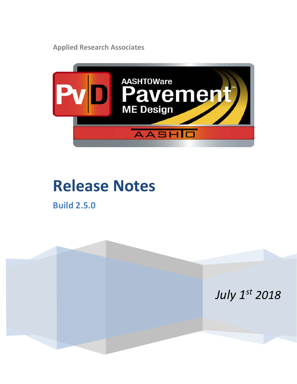**Applied Research Associates**



# **Release Notes**

**Build 2.5.0**

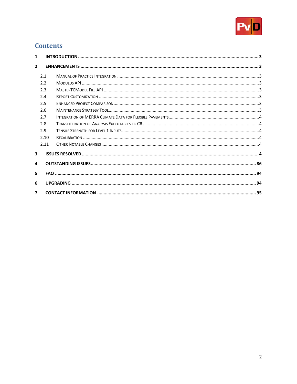

## **Contents**

| $\mathbf{1}$            |      |  |  |  |  |
|-------------------------|------|--|--|--|--|
| $\overline{2}$          |      |  |  |  |  |
|                         | 2.1  |  |  |  |  |
|                         | 2.2  |  |  |  |  |
|                         | 2.3  |  |  |  |  |
|                         | 2.4  |  |  |  |  |
|                         | 2.5  |  |  |  |  |
|                         | 2.6  |  |  |  |  |
|                         | 2.7  |  |  |  |  |
|                         | 2.8  |  |  |  |  |
|                         | 2.9  |  |  |  |  |
|                         | 2.10 |  |  |  |  |
|                         | 2.11 |  |  |  |  |
| $\overline{\mathbf{3}}$ |      |  |  |  |  |
| 4                       |      |  |  |  |  |
| 5                       |      |  |  |  |  |
| 6                       |      |  |  |  |  |
| $\overline{\mathbf{z}}$ |      |  |  |  |  |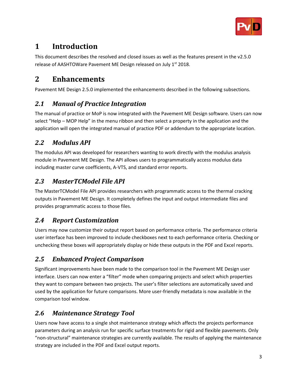

# <span id="page-2-0"></span>**1 Introduction**

This document describes the resolved and closed issues as well as the features present in the v2.5.0 release of AASHTOWare Pavement ME Design released on July 1st 2018.

# <span id="page-2-1"></span>**2 Enhancements**

Pavement ME Design 2.5.0 implemented the enhancements described in the following subsections.

## <span id="page-2-2"></span>*2.1 Manual of Practice Integration*

The manual of practice or MoP is now integrated with the Pavement ME Design software. Users can now select "Help – MOP Help" in the menu ribbon and then select a property in the application and the application will open the integrated manual of practice PDF or addendum to the appropriate location.

#### <span id="page-2-3"></span>*2.2 Modulus API*

The modulus API was developed for researchers wanting to work directly with the modulus analysis module in Pavement ME Design. The API allows users to programmatically access modulus data including master curve coefficients, A-VTS, and standard error reports.

## <span id="page-2-4"></span>*2.3 MasterTCModel File API*

The MasterTCModel File API provides researchers with programmatic access to the thermal cracking outputs in Pavement ME Design. It completely defines the input and output intermediate files and provides programmatic access to those files.

# <span id="page-2-5"></span>*2.4 Report Customization*

Users may now customize their output report based on performance criteria. The performance criteria user interface has been improved to include checkboxes next to each performance criteria. Checking or unchecking these boxes will appropriately display or hide these outputs in the PDF and Excel reports.

# <span id="page-2-6"></span>*2.5 Enhanced Project Comparison*

Significant improvements have been made to the comparison tool in the Pavement ME Design user interface. Users can now enter a "filter" mode when comparing projects and select which properties they want to compare between two projects. The user's filter selections are automatically saved and used by the application for future comparisons. More user-friendly metadata is now available in the comparison tool window.

# <span id="page-2-7"></span>*2.6 Maintenance Strategy Tool*

Users now have access to a single shot maintenance strategy which affects the projects performance parameters during an analysis run for specific surface treatments for rigid and flexible pavements. Only "non-structural" maintenance strategies are currently available. The results of applying the maintenance strategy are included in the PDF and Excel output reports.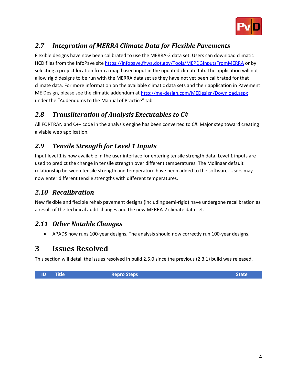

# <span id="page-3-0"></span>*2.7 Integration of MERRA Climate Data for Flexible Pavements*

Flexible designs have now been calibrated to use the MERRA-2 data set. Users can download climatic HCD files from the InfoPave sit[e https://infopave.fhwa.dot.gov/Tools/MEPDGInputsFromMERRA](https://infopave.fhwa.dot.gov/Tools/MEPDGInputsFromMERRA) or by selecting a project location from a map based input in the updated climate tab. The application will not allow rigid designs to be run with the MERRA data set as they have not yet been calibrated for that climate data. For more information on the available climatic data sets and their application in Pavement ME Design, please see the climatic addendum a[t http://me-design.com/MEDesign/Download.aspx](http://me-design.com/MEDesign/Download.aspx) under the "Addendums to the Manual of Practice" tab.

#### <span id="page-3-1"></span>*2.8 Transliteration of Analysis Executables to C#*

All FORTRAN and C++ code in the analysis engine has been converted to C#. Major step toward creating a viable web application.

## <span id="page-3-2"></span>*2.9 Tensile Strength for Level 1 Inputs*

Input level 1 is now available in the user interface for entering tensile strength data. Level 1 inputs are used to predict the change in tensile strength over different temperatures. The Molinaar default relationship between tensile strength and temperature have been added to the software. Users may now enter different tensile strengths with different temperatures.

#### <span id="page-3-3"></span>*2.10 Recalibration*

New flexible and flexible rehab pavement designs (including semi-rigid) have undergone recalibration as a result of the technical audit changes and the new MERRA-2 climate data set.

#### <span id="page-3-4"></span>*2.11 Other Notable Changes*

• APADS now runs 100-year designs. The analysis should now correctly run 100-year designs.

#### <span id="page-3-5"></span>**3 Issues Resolved**

This section will detail the issues resolved in build 2.5.0 since the previous (2.3.1) build was released.

**ID Title Repro Steps Repro Steps Repro State**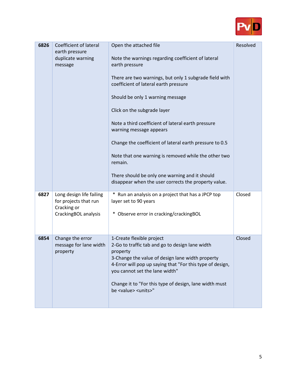

| 6826 | Coefficient of lateral<br>earth pressure<br>duplicate warning<br>message                 | Open the attached file<br>Note the warnings regarding coefficient of lateral<br>earth pressure<br>There are two warnings, but only 1 subgrade field with<br>coefficient of lateral earth pressure<br>Should be only 1 warning message<br>Click on the subgrade layer<br>Note a third coefficient of lateral earth pressure<br>warning message appears<br>Change the coefficient of lateral earth pressure to 0.5<br>Note that one warning is removed while the other two<br>remain.<br>There should be only one warning and it should<br>disappear when the user corrects the property value. | Resolved |
|------|------------------------------------------------------------------------------------------|-----------------------------------------------------------------------------------------------------------------------------------------------------------------------------------------------------------------------------------------------------------------------------------------------------------------------------------------------------------------------------------------------------------------------------------------------------------------------------------------------------------------------------------------------------------------------------------------------|----------|
| 6827 | Long design life failing<br>for projects that run<br>Cracking or<br>CrackingBOL analysis | * Run an analysis on a project that has a JPCP top<br>layer set to 90 years<br>Observe error in cracking/crackingBOL                                                                                                                                                                                                                                                                                                                                                                                                                                                                          | Closed   |
| 6854 | Change the error<br>message for lane width<br>property                                   | 1-Create flexible project<br>2-Go to traffic tab and go to design lane width<br>property<br>3-Change the value of design lane width property<br>4-Error will pop up saying that "For this type of design,<br>you cannot set the lane width"<br>Change it to "For this type of design, lane width must<br>be <value> <units>"</units></value>                                                                                                                                                                                                                                                  | Closed   |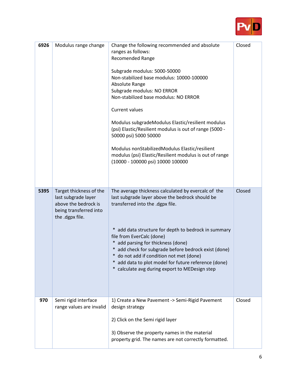

| 6926 | Modulus range change                                                                                                | Change the following recommended and absolute<br>ranges as follows:<br>Recomended Range<br>Subgrade modulus: 5000-50000<br>Non-stabilized base modulus: 10000-100000<br>Absolute Range<br>Subgrade modulus: NO ERROR<br>Non-stabilized base modulus: NO ERROR<br><b>Current values</b><br>Modulus subgradeModulus Elastic/resilient modulus<br>(psi) Elastic/Resilient modulus is out of range (5000 -<br>50000 psi) 5000 50000<br>Modulus nonStabilizedModulus Elastic/resilient<br>modulus (psi) Elastic/Resilient modulus is out of range<br>(10000 - 100000 psi) 10000 100000 | Closed |
|------|---------------------------------------------------------------------------------------------------------------------|-----------------------------------------------------------------------------------------------------------------------------------------------------------------------------------------------------------------------------------------------------------------------------------------------------------------------------------------------------------------------------------------------------------------------------------------------------------------------------------------------------------------------------------------------------------------------------------|--------|
| 5395 | Target thickness of the<br>last subgrade layer<br>above the bedrock is<br>being transferred into<br>the .dgpx file. | The average thickness calculated by evercalc of the<br>last subgrade layer above the bedrock should be<br>transferred into the .dgpx file.<br>* add data structure for depth to bedrock in summary<br>file from EverCalc (done)<br>* add parsing for thickness (done)<br>* add check for subgrade before bedrock exist (done)<br>* do not add if condition not met (done)<br>* add data to plot model for future reference (done)<br>calculate avg during export to MEDesign step                                                                                                 | Closed |
| 970  | Semi rigid interface<br>range values are invalid                                                                    | 1) Create a New Pavement -> Semi-Rigid Pavement<br>design strategy<br>2) Click on the Semi rigid layer<br>3) Observe the property names in the material<br>property grid. The names are not correctly formatted.                                                                                                                                                                                                                                                                                                                                                                  | Closed |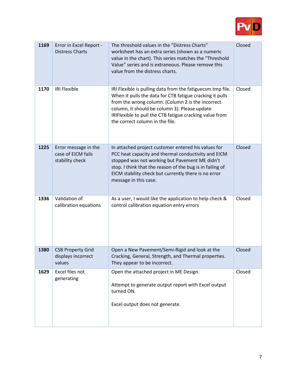

| 1169 | Error in Excel Report -<br><b>Distress Charts</b>             | The threshold values in the "Distress Charts"<br>worksheet has an extra series (shown as a numeric<br>value in the chart). This series matches the "Threshold<br>Value" series and is extraneous. Please remove this<br>value from the distress charts.                                                                    | Closed |
|------|---------------------------------------------------------------|----------------------------------------------------------------------------------------------------------------------------------------------------------------------------------------------------------------------------------------------------------------------------------------------------------------------------|--------|
| 1170 | <b>IRI Flexible</b>                                           | IRI Flexible is pulling data from the fatiguecsm.tmp file.<br>When it pulls the data for CTB fatigue cracking it pulls<br>from the wrong column. (Column 2 is the incorrect<br>column, it should be column 3). Please update<br>IRIFlexible to pull the CTB fatigue cracking value from<br>the correct column in the file. | Closed |
| 1225 | Error message in the<br>case of EICM fails<br>stability check | In attached project customer entered his values for<br>PCC heat capacity and thermal conductivity and EICM<br>stopped was not working but Pavement ME didn't<br>stop. I think that the reason of the bug is in failing of<br>EICM stability check but currently there is no error<br>message in this case.                 | Closed |
| 1336 | Validation of<br>calibration equations                        | As a user, I would like the application to help check &<br>control calibration equation entry errors                                                                                                                                                                                                                       | Closed |
| 1380 | <b>CSB Property Grid</b><br>displays incorrect<br>values      | Open a New Pavement/Semi-Rigid and look at the<br>Cracking, General, Strength, and Thermal properties.<br>They appear to be incorrect.                                                                                                                                                                                     | Closed |
| 1629 | Excel files not<br>generating                                 | Open the attached project in ME Design.<br>Attempt to generate output report with Excel output<br>turned ON.<br>Excel output does not generate.                                                                                                                                                                            | Closed |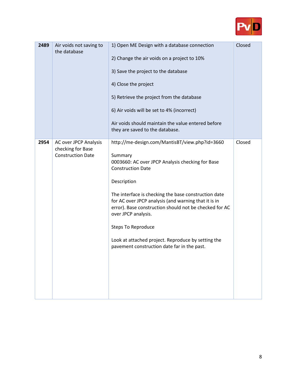

| 2489 | Air voids not saving to<br>the database                                | 1) Open ME Design with a database connection<br>2) Change the air voids on a project to 10%<br>3) Save the project to the database<br>4) Close the project<br>5) Retrieve the project from the database<br>6) Air voids will be set to 4% (incorrect)<br>Air voids should maintain the value entered before<br>they are saved to the database.                                                                                                                                              | Closed |
|------|------------------------------------------------------------------------|---------------------------------------------------------------------------------------------------------------------------------------------------------------------------------------------------------------------------------------------------------------------------------------------------------------------------------------------------------------------------------------------------------------------------------------------------------------------------------------------|--------|
| 2954 | AC over JPCP Analysis<br>checking for Base<br><b>Construction Date</b> | http://me-design.com/MantisBT/view.php?id=3660<br>Summary<br>0003660: AC over JPCP Analysis checking for Base<br><b>Construction Date</b><br>Description<br>The interface is checking the base construction date<br>for AC over JPCP analysis (and warning that it is in<br>error). Base construction should not be checked for AC<br>over JPCP analysis.<br><b>Steps To Reproduce</b><br>Look at attached project. Reproduce by setting the<br>pavement construction date far in the past. | Closed |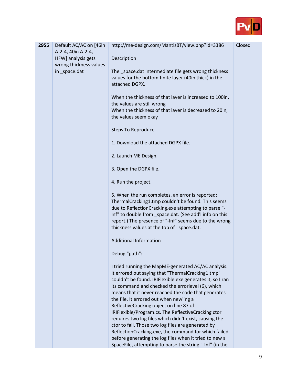

| 2955 | Default AC/AC on [46in<br>A-2-4, 40in A-2-4, | http://me-design.com/MantisBT/view.php?id=3386                                                                                                                                                                                                                                                                                                                                                                                                                                                                                                                                                                                                                                                                               | Closed |
|------|----------------------------------------------|------------------------------------------------------------------------------------------------------------------------------------------------------------------------------------------------------------------------------------------------------------------------------------------------------------------------------------------------------------------------------------------------------------------------------------------------------------------------------------------------------------------------------------------------------------------------------------------------------------------------------------------------------------------------------------------------------------------------------|--------|
|      | HFW] analysis gets                           | Description                                                                                                                                                                                                                                                                                                                                                                                                                                                                                                                                                                                                                                                                                                                  |        |
|      | wrong thickness values<br>in _space.dat      | The _space.dat intermediate file gets wrong thickness<br>values for the bottom finite layer (40in thick) in the<br>attached DGPX.                                                                                                                                                                                                                                                                                                                                                                                                                                                                                                                                                                                            |        |
|      |                                              | When the thickness of that layer is increased to 100in,<br>the values are still wrong<br>When the thickness of that layer is decreased to 20in,<br>the values seem okay                                                                                                                                                                                                                                                                                                                                                                                                                                                                                                                                                      |        |
|      |                                              | <b>Steps To Reproduce</b>                                                                                                                                                                                                                                                                                                                                                                                                                                                                                                                                                                                                                                                                                                    |        |
|      |                                              | 1. Download the attached DGPX file.                                                                                                                                                                                                                                                                                                                                                                                                                                                                                                                                                                                                                                                                                          |        |
|      |                                              | 2. Launch ME Design.                                                                                                                                                                                                                                                                                                                                                                                                                                                                                                                                                                                                                                                                                                         |        |
|      |                                              | 3. Open the DGPX file.                                                                                                                                                                                                                                                                                                                                                                                                                                                                                                                                                                                                                                                                                                       |        |
|      |                                              | 4. Run the project.                                                                                                                                                                                                                                                                                                                                                                                                                                                                                                                                                                                                                                                                                                          |        |
|      |                                              | 5. When the run completes, an error is reported:<br>ThermalCracking1.tmp couldn't be found. This seems<br>due to ReflectionCracking.exe attempting to parse "-<br>Inf" to double from _space.dat. (See add'l info on this<br>report.) The presence of "-Inf" seems due to the wrong<br>thickness values at the top of _space.dat.                                                                                                                                                                                                                                                                                                                                                                                            |        |
|      |                                              | <b>Additional Information</b>                                                                                                                                                                                                                                                                                                                                                                                                                                                                                                                                                                                                                                                                                                |        |
|      |                                              | Debug "path":                                                                                                                                                                                                                                                                                                                                                                                                                                                                                                                                                                                                                                                                                                                |        |
|      |                                              | I tried running the MapME-generated AC/AC analysis.<br>It errored out saying that "ThermalCracking1.tmp"<br>couldn't be found. IRIFlexible.exe generates it, so I ran<br>its command and checked the errorlevel (6), which<br>means that it never reached the code that generates<br>the file. It errored out when new'ing a<br>ReflectiveCracking object on line 87 of<br>IRIFlexible/Program.cs. The ReflectiveCracking ctor<br>requires two log files which didn't exist, causing the<br>ctor to fail. Those two log files are generated by<br>ReflectionCracking.exe, the command for which failed<br>before generating the log files when it tried to new a<br>SpaceFile, attempting to parse the string "-Inf" (in the |        |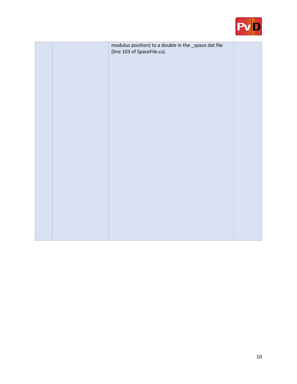

|  | modulus position) to a double in the _space.dat file<br>(line 103 of SpaceFile.cs). |  |
|--|-------------------------------------------------------------------------------------|--|
|  |                                                                                     |  |
|  |                                                                                     |  |
|  |                                                                                     |  |
|  |                                                                                     |  |
|  |                                                                                     |  |
|  |                                                                                     |  |
|  |                                                                                     |  |
|  |                                                                                     |  |
|  |                                                                                     |  |
|  |                                                                                     |  |
|  |                                                                                     |  |
|  |                                                                                     |  |
|  |                                                                                     |  |
|  |                                                                                     |  |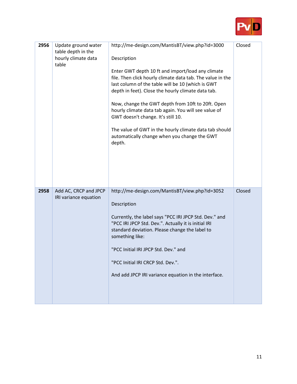

| 2956 | Update ground water<br>table depth in the<br>hourly climate data<br>table | http://me-design.com/MantisBT/view.php?id=3000<br>Description<br>Enter GWT depth 10 ft and import/load any climate<br>file. Then click hourly climate data tab. The value in the<br>last column of the table will be 10 (which is GWT<br>depth in feet). Close the hourly climate data tab.<br>Now, change the GWT depth from 10ft to 20ft. Open<br>hourly climate data tab again. You will see value of<br>GWT doesn't change. It's still 10.<br>The value of GWT in the hourly climate data tab should<br>automatically change when you change the GWT<br>depth. | Closed |
|------|---------------------------------------------------------------------------|--------------------------------------------------------------------------------------------------------------------------------------------------------------------------------------------------------------------------------------------------------------------------------------------------------------------------------------------------------------------------------------------------------------------------------------------------------------------------------------------------------------------------------------------------------------------|--------|
| 2958 | Add AC, CRCP and JPCP<br>IRI variance equation                            | http://me-design.com/MantisBT/view.php?id=3052<br>Description<br>Currently, the label says "PCC IRI JPCP Std. Dev." and<br>"PCC IRI JPCP Std. Dev.". Actually it is initial IRI<br>standard deviation. Please change the label to<br>something like:<br>"PCC Initial IRI JPCP Std. Dev." and<br>"PCC Initial IRI CRCP Std. Dev.".<br>And add JPCP IRI variance equation in the interface.                                                                                                                                                                          | Closed |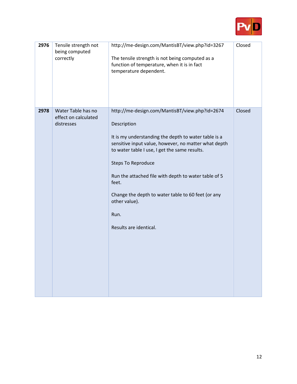

| 2976 | Tensile strength not<br>being computed<br>correctly      | http://me-design.com/MantisBT/view.php?id=3267<br>The tensile strength is not being computed as a<br>function of temperature, when it is in fact<br>temperature dependent.                                                                                                                                                                                                                                                            | Closed |
|------|----------------------------------------------------------|---------------------------------------------------------------------------------------------------------------------------------------------------------------------------------------------------------------------------------------------------------------------------------------------------------------------------------------------------------------------------------------------------------------------------------------|--------|
| 2978 | Water Table has no<br>effect on calculated<br>distresses | http://me-design.com/MantisBT/view.php?id=2674<br>Description<br>It is my understanding the depth to water table is a<br>sensitive input value, however, no matter what depth<br>to water table I use, I get the same results.<br><b>Steps To Reproduce</b><br>Run the attached file with depth to water table of 5<br>feet.<br>Change the depth to water table to 60 feet (or any<br>other value).<br>Run.<br>Results are identical. | Closed |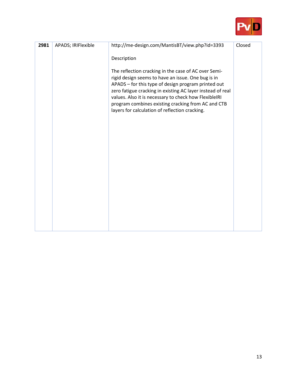

| 2981 | APADS; IRIFlexible | http://me-design.com/MantisBT/view.php?id=3393                                                                                                                                                                                                                                                                                                                                                                  | Closed |
|------|--------------------|-----------------------------------------------------------------------------------------------------------------------------------------------------------------------------------------------------------------------------------------------------------------------------------------------------------------------------------------------------------------------------------------------------------------|--------|
|      |                    | Description<br>The reflection cracking in the case of AC over Semi-<br>rigid design seems to have an issue. One bug is in<br>APADS - for this type of design program printed out<br>zero fatigue cracking in existing AC layer instead of real<br>values. Also it is necessary to check how FlexibleIRI<br>program combines existing cracking from AC and CTB<br>layers for calculation of reflection cracking. |        |
|      |                    |                                                                                                                                                                                                                                                                                                                                                                                                                 |        |
|      |                    |                                                                                                                                                                                                                                                                                                                                                                                                                 |        |
|      |                    |                                                                                                                                                                                                                                                                                                                                                                                                                 |        |
|      |                    |                                                                                                                                                                                                                                                                                                                                                                                                                 |        |
|      |                    |                                                                                                                                                                                                                                                                                                                                                                                                                 |        |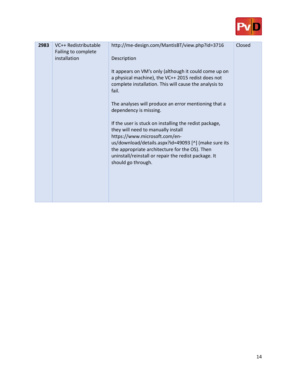

| 2983 | VC++ Redistributable<br>Failing to complete<br>installation | http://me-design.com/MantisBT/view.php?id=3716<br>Description<br>It appears on VM's only (although it could come up on<br>a physical machine), the VC++ 2015 redist does not<br>complete installation. This will cause the analysis to<br>fail.                                                                                                                                                         | Closed |
|------|-------------------------------------------------------------|---------------------------------------------------------------------------------------------------------------------------------------------------------------------------------------------------------------------------------------------------------------------------------------------------------------------------------------------------------------------------------------------------------|--------|
|      |                                                             | The analyses will produce an error mentioning that a<br>dependency is missing.<br>If the user is stuck on installing the redist package,<br>they will need to manually install<br>https://www.microsoft.com/en-<br>us/download/details.aspx?id=49093 [^] (make sure its<br>the appropriate architecture for the OS). Then<br>uninstall/reinstall or repair the redist package. It<br>should go through. |        |
|      |                                                             |                                                                                                                                                                                                                                                                                                                                                                                                         |        |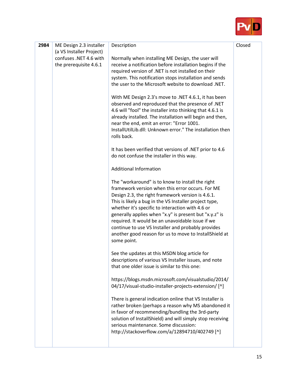

| 2984 | ME Design 2.3 installer<br>(a VS Installer Project)<br>confuses .NET 4.6 with | Description<br>Normally when installing ME Design, the user will                                                                                                                                                                                                                                                                                                                                                                                                                                                     | Closed |
|------|-------------------------------------------------------------------------------|----------------------------------------------------------------------------------------------------------------------------------------------------------------------------------------------------------------------------------------------------------------------------------------------------------------------------------------------------------------------------------------------------------------------------------------------------------------------------------------------------------------------|--------|
|      | the prerequisite 4.6.1                                                        | receive a notification before installation begins if the<br>required version of .NET is not installed on their<br>system. This notification stops installation and sends<br>the user to the Microsoft website to download .NET.                                                                                                                                                                                                                                                                                      |        |
|      |                                                                               | With ME Design 2.3's move to .NET 4.6.1, it has been<br>observed and reproduced that the presence of .NET<br>4.6 will "fool" the installer into thinking that 4.6.1 is<br>already installed. The installation will begin and then,<br>near the end, emit an error: "Error 1001.<br>InstallUtilLib.dll: Unknown error." The installation then<br>rolls back.                                                                                                                                                          |        |
|      |                                                                               | It has been verified that versions of .NET prior to 4.6<br>do not confuse the installer in this way.                                                                                                                                                                                                                                                                                                                                                                                                                 |        |
|      |                                                                               | <b>Additional Information</b>                                                                                                                                                                                                                                                                                                                                                                                                                                                                                        |        |
|      |                                                                               | The "workaround" is to know to install the right<br>framework version when this error occurs. For ME<br>Design 2.3, the right framework version is 4.6.1.<br>This is likely a bug in the VS Installer project type,<br>whether it's specific to interaction with 4.6 or<br>generally applies when "x.y" is present but "x.y.z" is<br>required. It would be an unavoidable issue if we<br>continue to use VS Installer and probably provides<br>another good reason for us to move to InstallShield at<br>some point. |        |
|      |                                                                               | See the updates at this MSDN blog article for<br>descriptions of various VS Installer issues, and note<br>that one older issue is similar to this one:                                                                                                                                                                                                                                                                                                                                                               |        |
|      |                                                                               | https://blogs.msdn.microsoft.com/visualstudio/2014/<br>04/17/visual-studio-installer-projects-extension/ [^]                                                                                                                                                                                                                                                                                                                                                                                                         |        |
|      |                                                                               | There is general indication online that VS Installer is<br>rather broken (perhaps a reason why MS abandoned it<br>in favor of recommending/bundling the 3rd-party<br>solution of InstallShield) and will simply stop receiving<br>serious maintenance. Some discussion:<br>http://stackoverflow.com/a/12894710/402749 [^]                                                                                                                                                                                            |        |
|      |                                                                               |                                                                                                                                                                                                                                                                                                                                                                                                                                                                                                                      |        |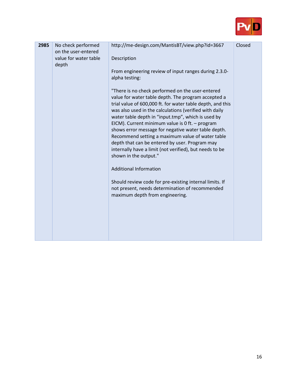

| 2985 | No check performed<br>on the user-entered<br>value for water table<br>depth | http://me-design.com/MantisBT/view.php?id=3667<br>Description<br>From engineering review of input ranges during 2.3.0-<br>alpha testing:<br>"There is no check performed on the user-entered<br>value for water table depth. The program accepted a<br>trial value of 600,000 ft. for water table depth, and this<br>was also used in the calculations (verified with daily<br>water table depth in "input.tmp", which is used by                                                  | Closed |
|------|-----------------------------------------------------------------------------|------------------------------------------------------------------------------------------------------------------------------------------------------------------------------------------------------------------------------------------------------------------------------------------------------------------------------------------------------------------------------------------------------------------------------------------------------------------------------------|--------|
|      |                                                                             | EICM). Current minimum value is 0 ft. - program<br>shows error message for negative water table depth.<br>Recommend setting a maximum value of water table<br>depth that can be entered by user. Program may<br>internally have a limit (not verified), but needs to be<br>shown in the output."<br><b>Additional Information</b><br>Should review code for pre-existing internal limits. If<br>not present, needs determination of recommended<br>maximum depth from engineering. |        |
|      |                                                                             |                                                                                                                                                                                                                                                                                                                                                                                                                                                                                    |        |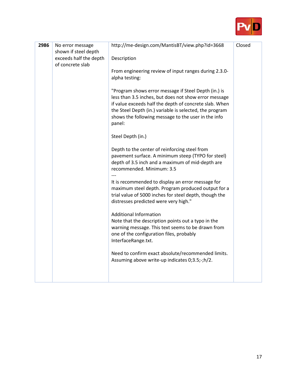

| 2986 | No error message                                                   | http://me-design.com/MantisBT/view.php?id=3668                                                                                                                                                                                                                                                      | Closed |
|------|--------------------------------------------------------------------|-----------------------------------------------------------------------------------------------------------------------------------------------------------------------------------------------------------------------------------------------------------------------------------------------------|--------|
|      | shown if steel depth<br>exceeds half the depth<br>of concrete slab | Description                                                                                                                                                                                                                                                                                         |        |
|      |                                                                    | From engineering review of input ranges during 2.3.0-<br>alpha testing:                                                                                                                                                                                                                             |        |
|      |                                                                    | "Program shows error message if Steel Depth (in.) is<br>less than 3.5 inches, but does not show error message<br>if value exceeds half the depth of concrete slab. When<br>the Steel Depth (in.) variable is selected, the program<br>shows the following message to the user in the info<br>panel: |        |
|      |                                                                    | Steel Depth (in.)                                                                                                                                                                                                                                                                                   |        |
|      |                                                                    | Depth to the center of reinforcing steel from<br>pavement surface. A minimum steep (TYPO for steel)<br>depth of 3.5 inch and a maximum of mid-depth are<br>recommended. Minimum: 3.5                                                                                                                |        |
|      |                                                                    | It is recommended to display an error message for<br>maximum steel depth. Program produced output for a<br>trial value of 5000 inches for steel depth, though the<br>distresses predicted were very high."                                                                                          |        |
|      |                                                                    | <b>Additional Information</b><br>Note that the description points out a typo in the<br>warning message. This text seems to be drawn from<br>one of the configuration files, probably<br>InterfaceRange.txt.                                                                                         |        |
|      |                                                                    | Need to confirm exact absolute/recommended limits.<br>Assuming above write-up indicates 0;3.5;-;h/2.                                                                                                                                                                                                |        |
|      |                                                                    |                                                                                                                                                                                                                                                                                                     |        |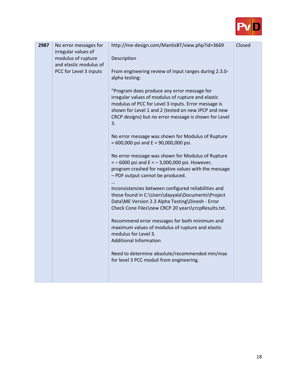

| 2987 | No error messages for<br>irregular values of<br>modulus of rupture<br>and elastic modulus of<br>PCC for Level 3 inputs | http://me-design.com/MantisBT/view.php?id=3669<br>Description<br>From engineering review of input ranges during 2.3.0-<br>alpha testing:<br>"Program does produce any error message for<br>irregular values of modulus of rupture and elastic<br>modulus of PCC for Level 3 inputs. Error message is<br>shown for Level 1 and 2 (tested on new JPCP and new<br>CRCP designs) but no error message is shown for Level<br>3.<br>No error message was shown for Modulus of Rupture<br>$= 600,000$ psi and E = 90,000,000 psi.<br>No error message was shown for Modulus of Rupture<br>$=$ -6000 psi and E = -3,000,000 psi. However,<br>program crashed for negative values with the message<br>- PDF output cannot be produced.<br>Inconsistencies between configured reliabilities and<br>those found in C:\Users\dayyala\Documents\Project<br>Data\ME Version 2.3 Alpha Testing\Dinesh - Error<br>Check Cone Files\new CRCP 20 years\crcpResults.txt.<br>Recommend error messages for both minimum and<br>maximum values of modulus of rupture and elastic<br>modulus for Level 3.<br><b>Additional Information</b><br>Need to determine absolute/recommended min/max<br>for level 3 PCC moduli from engineering. | Closed |
|------|------------------------------------------------------------------------------------------------------------------------|-------------------------------------------------------------------------------------------------------------------------------------------------------------------------------------------------------------------------------------------------------------------------------------------------------------------------------------------------------------------------------------------------------------------------------------------------------------------------------------------------------------------------------------------------------------------------------------------------------------------------------------------------------------------------------------------------------------------------------------------------------------------------------------------------------------------------------------------------------------------------------------------------------------------------------------------------------------------------------------------------------------------------------------------------------------------------------------------------------------------------------------------------------------------------------------------------------------------|--------|
|      |                                                                                                                        |                                                                                                                                                                                                                                                                                                                                                                                                                                                                                                                                                                                                                                                                                                                                                                                                                                                                                                                                                                                                                                                                                                                                                                                                                   |        |

н

n Tin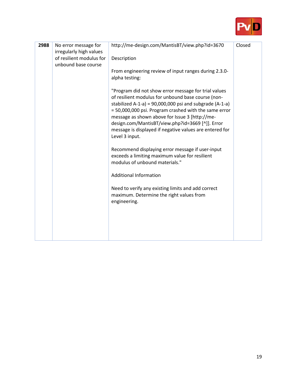

| 2988 | No error message for<br>irregularly high values | http://me-design.com/MantisBT/view.php?id=3670                                                                                                                                                                                                                                                                                                                                                                      | Closed |
|------|-------------------------------------------------|---------------------------------------------------------------------------------------------------------------------------------------------------------------------------------------------------------------------------------------------------------------------------------------------------------------------------------------------------------------------------------------------------------------------|--------|
|      | of resilient modulus for<br>unbound base course | Description                                                                                                                                                                                                                                                                                                                                                                                                         |        |
|      |                                                 | From engineering review of input ranges during 2.3.0-<br>alpha testing:                                                                                                                                                                                                                                                                                                                                             |        |
|      |                                                 | "Program did not show error message for trial values<br>of resilient modulus for unbound base course (non-<br>stabilized A-1-a) = $90,000,000$ psi and subgrade (A-1-a)<br>= 50,000,000 psi. Program crashed with the same error<br>message as shown above for Issue 3 [http://me-<br>design.com/MantisBT/view.php?id=3669 [^]]. Error<br>message is displayed if negative values are entered for<br>Level 3 input. |        |
|      |                                                 | Recommend displaying error message if user-input<br>exceeds a limiting maximum value for resilient<br>modulus of unbound materials."                                                                                                                                                                                                                                                                                |        |
|      |                                                 | <b>Additional Information</b>                                                                                                                                                                                                                                                                                                                                                                                       |        |
|      |                                                 | Need to verify any existing limits and add correct<br>maximum. Determine the right values from<br>engineering.                                                                                                                                                                                                                                                                                                      |        |
|      |                                                 |                                                                                                                                                                                                                                                                                                                                                                                                                     |        |
|      |                                                 |                                                                                                                                                                                                                                                                                                                                                                                                                     |        |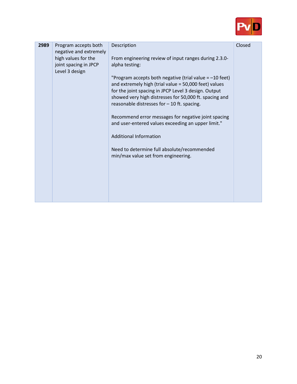

| 2989 | Program accepts both<br>negative and extremely<br>high values for the<br>joint spacing in JPCP<br>Level 3 design | Description<br>From engineering review of input ranges during 2.3.0-<br>alpha testing:<br>"Program accepts both negative (trial value $= -10$ feet)<br>and extremely high (trial value = 50,000 feet) values<br>for the joint spacing in JPCP Level 3 design. Output<br>showed very high distresses for 50,000 ft. spacing and<br>reasonable distresses for - 10 ft. spacing.<br>Recommend error messages for negative joint spacing<br>and user-entered values exceeding an upper limit."<br><b>Additional Information</b><br>Need to determine full absolute/recommended<br>min/max value set from engineering. | Closed |
|------|------------------------------------------------------------------------------------------------------------------|-------------------------------------------------------------------------------------------------------------------------------------------------------------------------------------------------------------------------------------------------------------------------------------------------------------------------------------------------------------------------------------------------------------------------------------------------------------------------------------------------------------------------------------------------------------------------------------------------------------------|--------|
|      |                                                                                                                  |                                                                                                                                                                                                                                                                                                                                                                                                                                                                                                                                                                                                                   |        |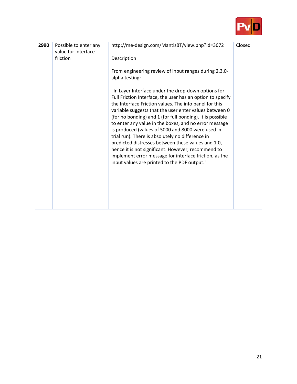

| 2990 | Possible to enter any<br>value for interface | http://me-design.com/MantisBT/view.php?id=3672                                                                                                                                                                                                                                                                                                                                                                                                                                                                                                                                                                                                                                             | Closed |
|------|----------------------------------------------|--------------------------------------------------------------------------------------------------------------------------------------------------------------------------------------------------------------------------------------------------------------------------------------------------------------------------------------------------------------------------------------------------------------------------------------------------------------------------------------------------------------------------------------------------------------------------------------------------------------------------------------------------------------------------------------------|--------|
|      | friction                                     | Description                                                                                                                                                                                                                                                                                                                                                                                                                                                                                                                                                                                                                                                                                |        |
|      |                                              | From engineering review of input ranges during 2.3.0-<br>alpha testing:                                                                                                                                                                                                                                                                                                                                                                                                                                                                                                                                                                                                                    |        |
|      |                                              | "In Layer Interface under the drop-down options for<br>Full Friction Interface, the user has an option to specify<br>the Interface Friction values. The info panel for this<br>variable suggests that the user enter values between 0<br>(for no bonding) and 1 (for full bonding). It is possible<br>to enter any value in the boxes, and no error message<br>is produced (values of 5000 and 8000 were used in<br>trial run). There is absolutely no difference in<br>predicted distresses between these values and 1.0,<br>hence it is not significant. However, recommend to<br>implement error message for interface friction, as the<br>input values are printed to the PDF output." |        |
|      |                                              |                                                                                                                                                                                                                                                                                                                                                                                                                                                                                                                                                                                                                                                                                            |        |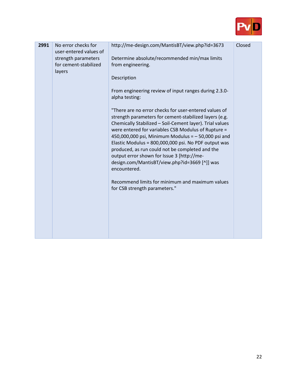

| 2991 | No error checks for<br>user-entered values of<br>strength parameters<br>for cement-stabilized<br>layers | http://me-design.com/MantisBT/view.php?id=3673<br>Determine absolute/recommended min/max limits<br>from engineering.<br>Description<br>From engineering review of input ranges during 2.3.0-<br>alpha testing:<br>"There are no error checks for user-entered values of<br>strength parameters for cement-stabilized layers (e.g.<br>Chemically Stabilized - Soil-Cement layer). Trial values<br>were entered for variables CSB Modulus of Rupture =<br>450,000,000 psi, Minimum Modulus = $-50,000$ psi and<br>Elastic Modulus = 800,000,000 psi. No PDF output was<br>produced, as run could not be completed and the<br>output error shown for Issue 3 [http://me-<br>design.com/MantisBT/view.php?id=3669 [^]] was<br>encountered.<br>Recommend limits for minimum and maximum values<br>for CSB strength parameters." | Closed |
|------|---------------------------------------------------------------------------------------------------------|----------------------------------------------------------------------------------------------------------------------------------------------------------------------------------------------------------------------------------------------------------------------------------------------------------------------------------------------------------------------------------------------------------------------------------------------------------------------------------------------------------------------------------------------------------------------------------------------------------------------------------------------------------------------------------------------------------------------------------------------------------------------------------------------------------------------------|--------|
|      |                                                                                                         |                                                                                                                                                                                                                                                                                                                                                                                                                                                                                                                                                                                                                                                                                                                                                                                                                            |        |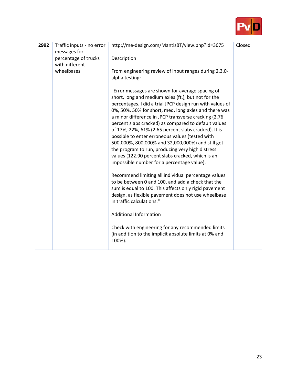

| 2992 | Traffic inputs - no error<br>messages for | http://me-design.com/MantisBT/view.php?id=3675                                                                                                                                                                                                                                                                                                                                                                                                                                                                                                                                                                                                                       | Closed |
|------|-------------------------------------------|----------------------------------------------------------------------------------------------------------------------------------------------------------------------------------------------------------------------------------------------------------------------------------------------------------------------------------------------------------------------------------------------------------------------------------------------------------------------------------------------------------------------------------------------------------------------------------------------------------------------------------------------------------------------|--------|
|      | percentage of trucks<br>with different    | Description                                                                                                                                                                                                                                                                                                                                                                                                                                                                                                                                                                                                                                                          |        |
|      | wheelbases                                | From engineering review of input ranges during 2.3.0-<br>alpha testing:                                                                                                                                                                                                                                                                                                                                                                                                                                                                                                                                                                                              |        |
|      |                                           | "Error messages are shown for average spacing of<br>short, long and medium axles (ft.), but not for the<br>percentages. I did a trial JPCP design run with values of<br>0%, 50%, 50% for short, med, long axles and there was<br>a minor difference in JPCP transverse cracking (2.76<br>percent slabs cracked) as compared to default values<br>of 17%, 22%, 61% (2.65 percent slabs cracked). It is<br>possible to enter erroneous values (tested with<br>500,000%, 800,000% and 32,000,000%) and still get<br>the program to run, producing very high distress<br>values (122.90 percent slabs cracked, which is an<br>impossible number for a percentage value). |        |
|      |                                           | Recommend limiting all individual percentage values<br>to be between 0 and 100, and add a check that the<br>sum is equal to 100. This affects only rigid pavement<br>design, as flexible pavement does not use wheelbase<br>in traffic calculations."                                                                                                                                                                                                                                                                                                                                                                                                                |        |
|      |                                           | <b>Additional Information</b>                                                                                                                                                                                                                                                                                                                                                                                                                                                                                                                                                                                                                                        |        |
|      |                                           | Check with engineering for any recommended limits<br>(in addition to the implicit absolute limits at 0% and<br>100%).                                                                                                                                                                                                                                                                                                                                                                                                                                                                                                                                                |        |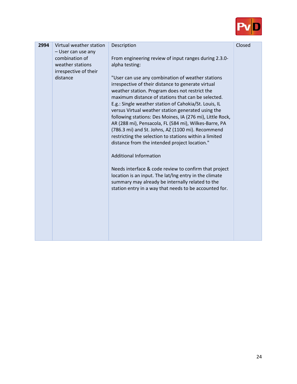

| 2994 | Virtual weather station                                  | Description                                                                                                                                                                                                                                                                                                                                                                                                                                                                                                                                                                                                                                                                                                                                                                                                                                                                            | Closed |
|------|----------------------------------------------------------|----------------------------------------------------------------------------------------------------------------------------------------------------------------------------------------------------------------------------------------------------------------------------------------------------------------------------------------------------------------------------------------------------------------------------------------------------------------------------------------------------------------------------------------------------------------------------------------------------------------------------------------------------------------------------------------------------------------------------------------------------------------------------------------------------------------------------------------------------------------------------------------|--------|
|      | - User can use any<br>combination of<br>weather stations | From engineering review of input ranges during 2.3.0-<br>alpha testing:                                                                                                                                                                                                                                                                                                                                                                                                                                                                                                                                                                                                                                                                                                                                                                                                                |        |
|      | irrespective of their<br>distance                        | "User can use any combination of weather stations<br>irrespective of their distance to generate virtual<br>weather station. Program does not restrict the<br>maximum distance of stations that can be selected.<br>E.g.: Single weather station of Cahokia/St. Louis, IL<br>versus Virtual weather station generated using the<br>following stations: Des Moines, IA (276 mi), Little Rock,<br>AR (288 mi), Pensacola, FL (584 mi), Wilkes-Barre, PA<br>(786.3 mi) and St. Johns, AZ (1100 mi). Recommend<br>restricting the selection to stations within a limited<br>distance from the intended project location."<br><b>Additional Information</b><br>Needs interface & code review to confirm that project<br>location is an input. The lat/Ing entry in the climate<br>summary may already be internally related to the<br>station entry in a way that needs to be accounted for. |        |
|      |                                                          |                                                                                                                                                                                                                                                                                                                                                                                                                                                                                                                                                                                                                                                                                                                                                                                                                                                                                        |        |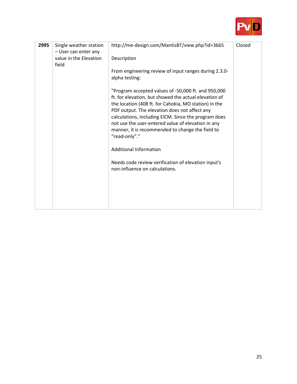

| 2995 | Single weather station<br>- User can enter any<br>value in the Elevation<br>field | http://me-design.com/MantisBT/view.php?id=3665<br>Description                                                                                                                                                                                                                                                                                                                                             | Closed |
|------|-----------------------------------------------------------------------------------|-----------------------------------------------------------------------------------------------------------------------------------------------------------------------------------------------------------------------------------------------------------------------------------------------------------------------------------------------------------------------------------------------------------|--------|
|      |                                                                                   | From engineering review of input ranges during 2.3.0-<br>alpha testing:                                                                                                                                                                                                                                                                                                                                   |        |
|      |                                                                                   | "Program accepted values of -50,000 ft. and 950,000<br>ft. for elevation, but showed the actual elevation of<br>the location (408 ft. for Cahokia, MO station) in the<br>PDF output. The elevation does not affect any<br>calculations, including EICM. Since the program does<br>not use the user-entered value of elevation in any<br>manner, it is recommended to change the field to<br>"read-only"." |        |
|      |                                                                                   | <b>Additional Information</b>                                                                                                                                                                                                                                                                                                                                                                             |        |
|      |                                                                                   | Needs code review verification of elevation input's<br>non-influence on calculations.                                                                                                                                                                                                                                                                                                                     |        |
|      |                                                                                   |                                                                                                                                                                                                                                                                                                                                                                                                           |        |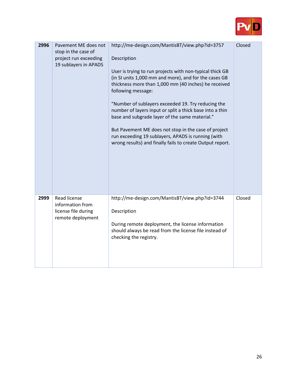

| 2996 | Pavement ME does not<br>stop in the case of<br>project run exceeding<br>19 sublayers in APADS | http://me-design.com/MantisBT/view.php?id=3757<br>Description<br>User is trying to run projects with non-typical thick GB<br>(in SI units 1,000 mm and more), and for the cases GB<br>thickness more than 1,000 mm (40 inches) he received<br>following message:<br>"Number of sublayers exceeded 19. Try reducing the<br>number of layers input or split a thick base into a thin<br>base and subgrade layer of the same material."<br>But Pavement ME does not stop in the case of project<br>run exceeding 19 sublayers, APADS is running (with<br>wrong results) and finally fails to create Output report. | Closed |
|------|-----------------------------------------------------------------------------------------------|-----------------------------------------------------------------------------------------------------------------------------------------------------------------------------------------------------------------------------------------------------------------------------------------------------------------------------------------------------------------------------------------------------------------------------------------------------------------------------------------------------------------------------------------------------------------------------------------------------------------|--------|
| 2999 | <b>Read license</b><br>information from<br>license file during<br>remote deployment           | http://me-design.com/MantisBT/view.php?id=3744<br>Description<br>During remote deployment, the license information<br>should always be read from the license file instead of<br>checking the registry.                                                                                                                                                                                                                                                                                                                                                                                                          | Closed |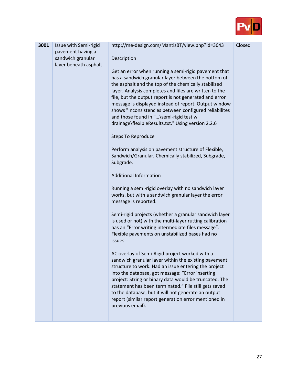

| 3001 | Issue with Semi-rigid | http://me-design.com/MantisBT/view.php?id=3643                                                                  | Closed |
|------|-----------------------|-----------------------------------------------------------------------------------------------------------------|--------|
|      | pavement having a     |                                                                                                                 |        |
|      | sandwich granular     | Description                                                                                                     |        |
|      | layer beneath asphalt |                                                                                                                 |        |
|      |                       | Get an error when running a semi-rigid pavement that<br>has a sandwich granular layer between the bottom of     |        |
|      |                       | the asphalt and the top of the chemically stabilized                                                            |        |
|      |                       | layer. Analysis completes and files are written to the                                                          |        |
|      |                       | file, but the output report is not generated and error                                                          |        |
|      |                       | message is displayed instead of report. Output window                                                           |        |
|      |                       | shows "Inconsistencies between configured reliabilites                                                          |        |
|      |                       | and those found in "\semi-rigid test w<br>drainage\flexibleResults.txt." Using version 2.2.6                    |        |
|      |                       |                                                                                                                 |        |
|      |                       | <b>Steps To Reproduce</b>                                                                                       |        |
|      |                       | Perform analysis on pavement structure of Flexible,                                                             |        |
|      |                       | Sandwich/Granular, Chemically stabilized, Subgrade,                                                             |        |
|      |                       | Subgrade.                                                                                                       |        |
|      |                       | <b>Additional Information</b>                                                                                   |        |
|      |                       |                                                                                                                 |        |
|      |                       | Running a semi-rigid overlay with no sandwich layer                                                             |        |
|      |                       | works, but with a sandwich granular layer the error                                                             |        |
|      |                       | message is reported.                                                                                            |        |
|      |                       | Semi-rigid projects (whether a granular sandwich layer                                                          |        |
|      |                       | is used or not) with the multi-layer rutting calibration                                                        |        |
|      |                       | has an "Error writing intermediate files message".                                                              |        |
|      |                       | Flexible pavements on unstabilized bases had no                                                                 |        |
|      |                       | issues.                                                                                                         |        |
|      |                       | AC overlay of Semi-Rigid project worked with a                                                                  |        |
|      |                       | sandwich granular layer within the existing pavement                                                            |        |
|      |                       | structure to work. Had an issue entering the project                                                            |        |
|      |                       | into the database, got message: "Error inserting                                                                |        |
|      |                       | project: String or binary data would be truncated. The<br>statement has been terminated." File still gets saved |        |
|      |                       | to the database, but it will not generate an output                                                             |        |
|      |                       | report (similar report generation error mentioned in                                                            |        |
|      |                       | previous email).                                                                                                |        |
|      |                       |                                                                                                                 |        |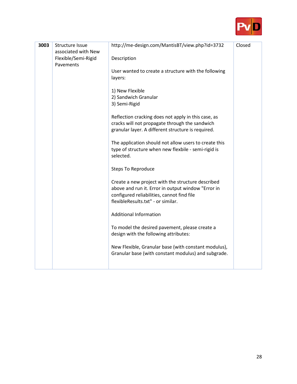

| 3003 | <b>Structure Issue</b><br>associated with New<br>Flexible/Semi-Rigid<br>Pavements | http://me-design.com/MantisBT/view.php?id=3732<br>Description<br>User wanted to create a structure with the following<br>layers:<br>1) New Flexible<br>2) Sandwich Granular<br>3) Semi-Rigid<br>Reflection cracking does not apply in this case, as<br>cracks will not propagate through the sandwich<br>granular layer. A different structure is required.<br>The application should not allow users to create this<br>type of structure when new flexbile - semi-rigid is<br>selected.<br><b>Steps To Reproduce</b><br>Create a new project with the structure described<br>above and run it. Error in output window "Error in<br>configured reliabilities, cannot find file<br>flexibleResults.txt" - or similar.<br><b>Additional Information</b><br>To model the desired pavement, please create a<br>design with the following attributes:<br>New Flexible, Granular base (with constant modulus),<br>Granular base (with constant modulus) and subgrade. | Closed |
|------|-----------------------------------------------------------------------------------|-----------------------------------------------------------------------------------------------------------------------------------------------------------------------------------------------------------------------------------------------------------------------------------------------------------------------------------------------------------------------------------------------------------------------------------------------------------------------------------------------------------------------------------------------------------------------------------------------------------------------------------------------------------------------------------------------------------------------------------------------------------------------------------------------------------------------------------------------------------------------------------------------------------------------------------------------------------------|--------|
|------|-----------------------------------------------------------------------------------|-----------------------------------------------------------------------------------------------------------------------------------------------------------------------------------------------------------------------------------------------------------------------------------------------------------------------------------------------------------------------------------------------------------------------------------------------------------------------------------------------------------------------------------------------------------------------------------------------------------------------------------------------------------------------------------------------------------------------------------------------------------------------------------------------------------------------------------------------------------------------------------------------------------------------------------------------------------------|--------|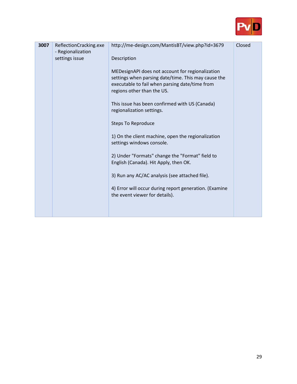

| 3007 | ReflectionCracking.exe<br>- Regionalization<br>settings issue | http://me-design.com/MantisBT/view.php?id=3679<br>Description<br>MEDesignAPI does not account for regionalization<br>settings when parsing date/time. This may cause the<br>executable to fail when parsing date/time from<br>regions other than the US.<br>This issue has been confirmed with US (Canada)<br>regionalization settings.<br><b>Steps To Reproduce</b><br>1) On the client machine, open the regionalization<br>settings windows console.<br>2) Under "Formats" change the "Format" field to<br>English (Canada). Hit Apply, then OK.<br>3) Run any AC/AC analysis (see attached file).<br>4) Error will occur during report generation. (Examine<br>the event viewer for details). | Closed |
|------|---------------------------------------------------------------|---------------------------------------------------------------------------------------------------------------------------------------------------------------------------------------------------------------------------------------------------------------------------------------------------------------------------------------------------------------------------------------------------------------------------------------------------------------------------------------------------------------------------------------------------------------------------------------------------------------------------------------------------------------------------------------------------|--------|
|------|---------------------------------------------------------------|---------------------------------------------------------------------------------------------------------------------------------------------------------------------------------------------------------------------------------------------------------------------------------------------------------------------------------------------------------------------------------------------------------------------------------------------------------------------------------------------------------------------------------------------------------------------------------------------------------------------------------------------------------------------------------------------------|--------|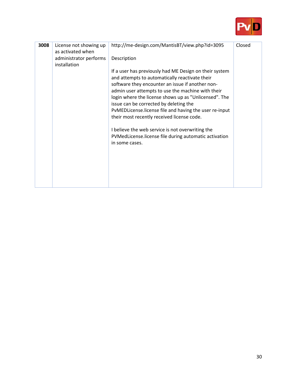

| 3008 | License not showing up<br>as activated when | http://me-design.com/MantisBT/view.php?id=3095                                                           | Closed |
|------|---------------------------------------------|----------------------------------------------------------------------------------------------------------|--------|
|      | administrator performs<br>installation      | Description                                                                                              |        |
|      |                                             | If a user has previously had ME Design on their system<br>and attempts to automatically reactivate their |        |
|      |                                             | software they encounter an issue if another non-<br>admin user attempts to use the machine with their    |        |
|      |                                             | login where the license shows up as "Unlicensed". The<br>issue can be corrected by deleting the          |        |
|      |                                             | PvMEDLicense.license file and having the user re-input<br>their most recently received license code.     |        |
|      |                                             |                                                                                                          |        |
|      |                                             | I believe the web service is not overwriting the                                                         |        |
|      |                                             | PVMedLicense.license file during automatic activation<br>in some cases.                                  |        |
|      |                                             |                                                                                                          |        |
|      |                                             |                                                                                                          |        |
|      |                                             |                                                                                                          |        |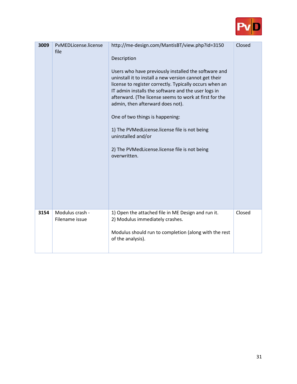

| 3009 | PvMEDLicense.license<br>file      | http://me-design.com/MantisBT/view.php?id=3150<br>Description<br>Users who have previously installed the software and<br>uninstall it to install a new version cannot get their<br>license to register correctly. Typically occurs when an<br>IT admin installs the software and the user logs in<br>afterward. (The license seems to work at first for the<br>admin, then afterward does not).<br>One of two things is happening:<br>1) The PVMedLicense.license file is not being<br>uninstalled and/or<br>2) The PVMedLicense.license file is not being<br>overwritten. | Closed |
|------|-----------------------------------|----------------------------------------------------------------------------------------------------------------------------------------------------------------------------------------------------------------------------------------------------------------------------------------------------------------------------------------------------------------------------------------------------------------------------------------------------------------------------------------------------------------------------------------------------------------------------|--------|
| 3154 | Modulus crash -<br>Filename issue | 1) Open the attached file in ME Design and run it.<br>2) Modulus immediately crashes.<br>Modulus should run to completion (along with the rest<br>of the analysis).                                                                                                                                                                                                                                                                                                                                                                                                        | Closed |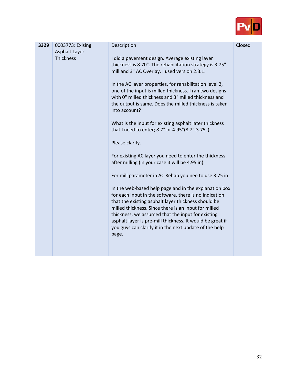

| 3329 | 0003773: Exising                  | Description                                                                                                                                                                                                                                                                                                                                                                                                                                                                                                                                                                                                                                                                                                                                                                                                                                                                                                                                                                                                                                                                                                                                         | Closed |
|------|-----------------------------------|-----------------------------------------------------------------------------------------------------------------------------------------------------------------------------------------------------------------------------------------------------------------------------------------------------------------------------------------------------------------------------------------------------------------------------------------------------------------------------------------------------------------------------------------------------------------------------------------------------------------------------------------------------------------------------------------------------------------------------------------------------------------------------------------------------------------------------------------------------------------------------------------------------------------------------------------------------------------------------------------------------------------------------------------------------------------------------------------------------------------------------------------------------|--------|
|      | Asphalt Layer<br><b>Thickness</b> | I did a pavement design. Average existing layer<br>thickness is 8.70". The rehabilitation strategy is 3.75"<br>mill and 3" AC Overlay. I used version 2.3.1.<br>In the AC layer properties, for rehabilitation level 2,<br>one of the input is milled thickness. I ran two designs<br>with 0" milled thickness and 3" milled thickness and<br>the output is same. Does the milled thickness is taken<br>into account?<br>What is the input for existing asphalt later thickness<br>that I need to enter; 8.7" or 4.95"(8.7"-3.75").<br>Please clarify.<br>For existing AC layer you need to enter the thickness<br>after milling (in your case it will be 4.95 in).<br>For mill parameter in AC Rehab you nee to use 3.75 in<br>In the web-based help page and in the explanation box<br>for each input in the software, there is no indication<br>that the existing asphalt layer thickness should be<br>milled thickness. Since there is an input for milled<br>thickness, we assumed that the input for existing<br>asphalt layer is pre-mill thickness. It would be great if<br>you guys can clarify it in the next update of the help<br>page. |        |
|      |                                   |                                                                                                                                                                                                                                                                                                                                                                                                                                                                                                                                                                                                                                                                                                                                                                                                                                                                                                                                                                                                                                                                                                                                                     |        |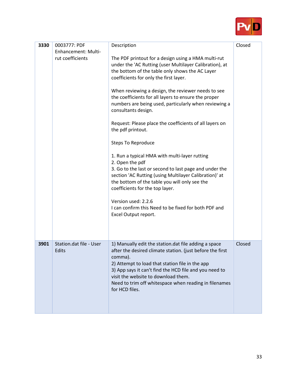

| 3330 | 0003777: PDF<br><b>Enhancement: Multi-</b><br>rut coefficients | Description<br>The PDF printout for a design using a HMA multi-rut<br>under the 'AC Rutting (user Multilayer Calibration), at<br>the bottom of the table only shows the AC Layer<br>coefficients for only the first layer.<br>When reviewing a design, the reviewer needs to see<br>the coefficients for all layers to ensure the proper<br>numbers are being used, particularly when reviewing a<br>consultants design.<br>Request: Please place the coefficients of all layers on<br>the pdf printout.<br><b>Steps To Reproduce</b><br>1. Run a typical HMA with multi-layer rutting<br>2. Open the pdf<br>3. Go to the last or second to last page and under the<br>section 'AC Rutting (using Multilayer Calibration)' at<br>the bottom of the table you will only see the<br>coefficients for the top layer.<br>Version used: 2.2.6<br>I can confirm this Need to be fixed for both PDF and<br>Excel Output report. | Closed |
|------|----------------------------------------------------------------|--------------------------------------------------------------------------------------------------------------------------------------------------------------------------------------------------------------------------------------------------------------------------------------------------------------------------------------------------------------------------------------------------------------------------------------------------------------------------------------------------------------------------------------------------------------------------------------------------------------------------------------------------------------------------------------------------------------------------------------------------------------------------------------------------------------------------------------------------------------------------------------------------------------------------|--------|
| 3901 | Station.dat file - User<br>Edits                               | 1) Manually edit the station.dat file adding a space<br>after the desired climate station. (just before the first<br>comma).<br>2) Attempt to load that station file in the app<br>3) App says it can't find the HCD file and you need to<br>visit the website to download them.<br>Need to trim off whitespace when reading in filenames<br>for HCD files.                                                                                                                                                                                                                                                                                                                                                                                                                                                                                                                                                              | Closed |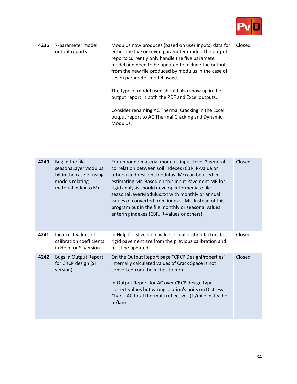

| 4236        | 7-parameter model<br>output reports                                                                            | Modulus now produces (based on user inputs) data for<br>either the five or seven parameter model. The output<br>reports currently only handle the five parameter<br>model and need to be updated to include the output<br>from the new file produced by modulus in the case of<br>seven parameter model usage.<br>The type of model used should also show up in the<br>output report in both the PDF and Excel outputs.<br>Consider renaming AC Thermal Cracking in the Excel<br>output report to AC Thermal Cracking and Dynamic<br>Modulus. | Closed |
|-------------|----------------------------------------------------------------------------------------------------------------|-----------------------------------------------------------------------------------------------------------------------------------------------------------------------------------------------------------------------------------------------------------------------------------------------------------------------------------------------------------------------------------------------------------------------------------------------------------------------------------------------------------------------------------------------|--------|
| 4240        | Bug in the file<br>seasonaLayerModulus.<br>txt in the case of using<br>models relating<br>material index to Mr | For unbound material modulus input Level 2 general<br>correlation between soil indexes (CBR, R-value or<br>others) and resilient modulus (Mr) can be used in<br>estimating Mr. Based on this input Pavement ME for<br>rigid analysis should develop intermediate file<br>seasonalLayerModulus.txt with monthly or annual<br>values of converted from indexes Mr. Instead of this<br>program put in the file monthly or seasonal values<br>entering indexes (CBR, R-values or others).                                                         | Closed |
| 4241        | Incorrect values of<br>calibration coefficients<br>in Help for SI version                                      | In Help for SI version values of calibration factors for<br>rigid pavement are from the previous calibration and<br>must be updated.                                                                                                                                                                                                                                                                                                                                                                                                          | Closed |
| <b>4747</b> | <b>Bugs in Output Report</b><br>for CRCP design (SI<br>version)                                                | On the Output Report page "CRCP DesignProperties"<br>internally calculated values of Crack Space is not<br>convertedfrom the inches to mm.<br>In Output Report for AC over CRCP design type -<br>correct values but wrong caption's units on Distress<br>Chart "AC total thermal +reflective" (ft/mile instead of<br>$m/km$ )                                                                                                                                                                                                                 | Closed |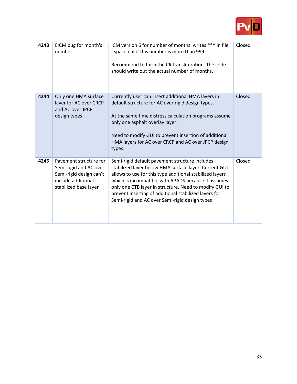

| 4243 | EICM bug for month's<br>number                                                                                             | ICM version 6 for number of months writes *** in file<br>_space.dat if this number is more than 999<br>Recommend to fix in the C# transliteration. The code<br>should write out the actual number of months.                                                                                                                                                                                    | Closed |
|------|----------------------------------------------------------------------------------------------------------------------------|-------------------------------------------------------------------------------------------------------------------------------------------------------------------------------------------------------------------------------------------------------------------------------------------------------------------------------------------------------------------------------------------------|--------|
| 4244 | Only one HMA surface<br>layer for AC over CRCP<br>and AC over JPCP<br>design types                                         | Currently user can insert additional HMA layers in<br>default structure for AC over rigid design types.<br>At the same time distress calculation programs assume<br>only one asphalt overlay layer.<br>Need to modify GUI to prevent insertion of additional<br>HMA layers for AC over CRCP and AC over JPCP design<br>types.                                                                   | Closed |
| 4245 | Pavement structure for<br>Semi-rigid and AC over<br>Semi-rigid design can't<br>include additional<br>stabilized base layer | Semi-rigid default pavement structure includes<br>stabilized layer below HMA surface layer. Current GUI<br>allows to use for this type additional stabilized layers<br>which is incompatible with APADS because it assumes<br>only one CTB layer in structure. Need to modify GUI to<br>prevent inserting of additional stabilized layers for<br>Semi-rigid and AC over Semi-rigid design types | Closed |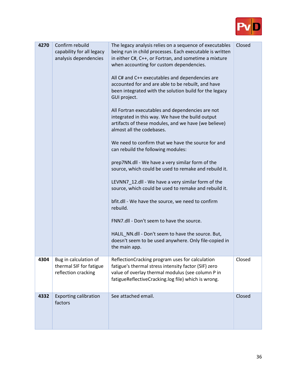

| 4270 | Confirm rebuild<br>capability for all legacy<br>analysis dependencies   | The legacy analysis relies on a sequence of executables<br>being run in child processes. Each executable is written<br>in either C#, C++, or Fortran, and sometime a mixture<br>when accounting for custom dependencies.<br>All C# and C++ executables and dependencies are<br>accounted for and are able to be rebuilt, and have<br>been integrated with the solution build for the legacy<br>GUI project.<br>All Fortran executables and dependencies are not<br>integrated in this way. We have the build output<br>artifacts of these modules, and we have (we believe)<br>almost all the codebases.<br>We need to confirm that we have the source for and<br>can rebuild the following modules:<br>prep7NN.dll - We have a very similar form of the<br>source, which could be used to remake and rebuild it.<br>LEVNN7_12.dll - We have a very similar form of the<br>source, which could be used to remake and rebuild it.<br>bfit.dll - We have the source, we need to confirm<br>rebuild.<br>FNN7.dll - Don't seem to have the source.<br>HALIL_NN.dll - Don't seem to have the source. But,<br>doesn't seem to be used anywhere. Only file-copied in<br>the main app. | Closed |
|------|-------------------------------------------------------------------------|--------------------------------------------------------------------------------------------------------------------------------------------------------------------------------------------------------------------------------------------------------------------------------------------------------------------------------------------------------------------------------------------------------------------------------------------------------------------------------------------------------------------------------------------------------------------------------------------------------------------------------------------------------------------------------------------------------------------------------------------------------------------------------------------------------------------------------------------------------------------------------------------------------------------------------------------------------------------------------------------------------------------------------------------------------------------------------------------------------------------------------------------------------------------------------|--------|
| 4304 | Bug in calculation of<br>thermal SIF for fatigue<br>reflection cracking | ReflectionCracking program uses for calculation<br>fatigue's thermal stress intensity factor (SIF) zero<br>value of overlay thermal modulus (see column P in<br>fatigueReflectiveCracking.log file) which is wrong.                                                                                                                                                                                                                                                                                                                                                                                                                                                                                                                                                                                                                                                                                                                                                                                                                                                                                                                                                            | Closed |
| 4332 | <b>Exporting calibration</b><br>factors                                 | See attached email.                                                                                                                                                                                                                                                                                                                                                                                                                                                                                                                                                                                                                                                                                                                                                                                                                                                                                                                                                                                                                                                                                                                                                            | Closed |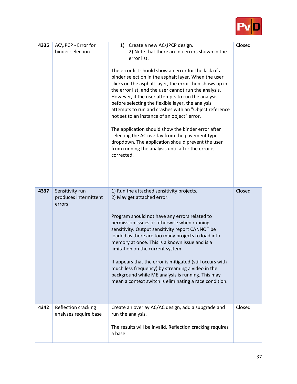

| 4335 | AC\JPCP - Error for<br>binder selection            | 1) Create a new AC\JPCP design.<br>2) Note that there are no errors shown in the<br>error list.<br>The error list should show an error for the lack of a<br>binder selection in the asphalt layer. When the user<br>clicks on the asphalt layer, the error then shows up in<br>the error list, and the user cannot run the analysis.<br>However, if the user attempts to run the analysis<br>before selecting the flexible layer, the analysis<br>attempts to run and crashes with an "Object reference<br>not set to an instance of an object" error.<br>The application should show the binder error after<br>selecting the AC overlay from the pavement type<br>dropdown. The application should prevent the user<br>from running the analysis until after the error is<br>corrected. | Closed |
|------|----------------------------------------------------|------------------------------------------------------------------------------------------------------------------------------------------------------------------------------------------------------------------------------------------------------------------------------------------------------------------------------------------------------------------------------------------------------------------------------------------------------------------------------------------------------------------------------------------------------------------------------------------------------------------------------------------------------------------------------------------------------------------------------------------------------------------------------------------|--------|
| 4337 | Sensitivity run<br>produces intermittent<br>errors | 1) Run the attached sensitivity projects.<br>2) May get attached error.<br>Program should not have any errors related to<br>permission issues or otherwise when running<br>sensitivity. Output sensitivity report CANNOT be<br>loaded as there are too many projects to load into<br>memory at once. This is a known issue and is a<br>limitation on the current system.<br>It appears that the error is mitigated (still occurs with<br>much less frequency) by streaming a video in the<br>background while ME analysis is running. This may<br>mean a context switch is eliminating a race condition.                                                                                                                                                                                 | Closed |
| 4342 | Reflection cracking<br>analyses require base       | Create an overlay AC/AC design, add a subgrade and<br>run the analysis.<br>The results will be invalid. Reflection cracking requires<br>a base.                                                                                                                                                                                                                                                                                                                                                                                                                                                                                                                                                                                                                                          | Closed |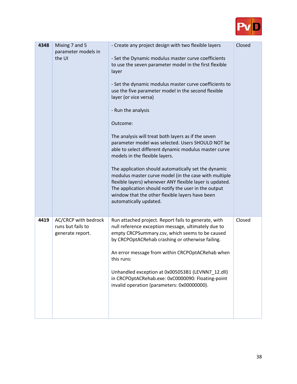

| 4348 | Mixing 7 and 5<br>parameter models in<br>the UI               | - Create any project design with two flexible layers<br>- Set the Dynamic modulus master curve coefficients<br>to use the seven parameter model in the first flexible<br>layer<br>- Set the dynamic modulus master curve coefficients to<br>use the five parameter model in the second flexible<br>layer (or vice versa)<br>- Run the analysis<br>Outcome:<br>The analysis will treat both layers as if the seven<br>parameter model was selected. Users SHOULD NOT be<br>able to select different dynamic modulus master curve<br>models in the flexible layers.<br>The application should automatically set the dynamic<br>modulus master curve model (in the case with multiple<br>flexible layers) whenever ANY flexible layer is updated.<br>The application should notify the user in the output<br>window that the other flexible layers have been<br>automatically updated. | Closed |
|------|---------------------------------------------------------------|-------------------------------------------------------------------------------------------------------------------------------------------------------------------------------------------------------------------------------------------------------------------------------------------------------------------------------------------------------------------------------------------------------------------------------------------------------------------------------------------------------------------------------------------------------------------------------------------------------------------------------------------------------------------------------------------------------------------------------------------------------------------------------------------------------------------------------------------------------------------------------------|--------|
| 4419 | AC/CRCP with bedrock<br>runs but fails to<br>generate report. | Run attached project. Report fails to generate, with<br>null reference exception message, ultimately due to<br>empty CRCPSummary.csv, which seems to be caused<br>by CRCPOptACRehab crashing or otherwise failing.<br>An error message from within CRCPOptACRehab when<br>this runs:<br>Unhandled exception at 0x005053B1 (LEVNN7 12.dll)<br>in CRCPOptACRehab.exe: 0xC0000090: Floating-point<br>invalid operation (parameters: 0x00000000).                                                                                                                                                                                                                                                                                                                                                                                                                                       | Closed |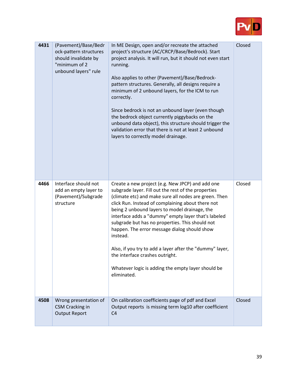

| 4431 | (Pavement)/Base/Bedr<br>ock-pattern structures<br>should invalidate by<br>"minimum of 2<br>unbound layers" rule | In ME Design, open and/or recreate the attached<br>project's structure (AC/CRCP/Base/Bedrock). Start<br>project analysis. It will run, but it should not even start<br>running.<br>Also applies to other (Pavement)/Base/Bedrock-<br>pattern structures. Generally, all designs require a<br>minimum of 2 unbound layers, for the ICM to run<br>correctly.<br>Since bedrock is not an unbound layer (even though<br>the bedrock object currently piggybacks on the<br>unbound data object), this structure should trigger the<br>validation error that there is not at least 2 unbound<br>layers to correctly model drainage. | Closed |
|------|-----------------------------------------------------------------------------------------------------------------|-------------------------------------------------------------------------------------------------------------------------------------------------------------------------------------------------------------------------------------------------------------------------------------------------------------------------------------------------------------------------------------------------------------------------------------------------------------------------------------------------------------------------------------------------------------------------------------------------------------------------------|--------|
| 4466 | Interface should not<br>add an empty layer to<br>(Pavement)/Subgrade<br>structure                               | Create a new project (e.g. New JPCP) and add one<br>subgrade layer. Fill out the rest of the properties<br>(climate etc) and make sure all nodes are green. Then<br>click Run. Instead of complaining about there not<br>being 2 unbound layers to model drainage, the<br>interface adds a "dummy" empty layer that's labeled<br>subgrade but has no properties. This should not<br>happen. The error message dialog should show<br>instead.<br>Also, if you try to add a layer after the "dummy" layer,<br>the interface crashes outright.<br>Whatever logic is adding the empty layer should be<br>eliminated.              | Closed |
| 4508 | Wrong presentation of<br><b>CSM Cracking in</b><br><b>Output Report</b>                                         | On calibration coefficients page of pdf and Excel<br>Output reports is missing term log10 after coefficient<br>C <sub>4</sub>                                                                                                                                                                                                                                                                                                                                                                                                                                                                                                 | Closed |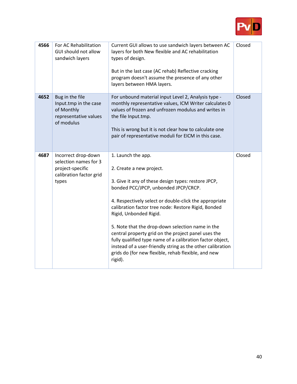

| 4566 | For AC Rehabilitation<br>GUI should not allow<br>sandwich layers                                     | Current GUI allows to use sandwich layers between AC<br>layers for both New flexible and AC rehabilitation<br>types of design.<br>But in the last case (AC rehab) Reflective cracking<br>program doesn't assume the presence of any other<br>layers between HMA layers.                                                                                                                                                                                                                                                                                                                          | Closed |
|------|------------------------------------------------------------------------------------------------------|--------------------------------------------------------------------------------------------------------------------------------------------------------------------------------------------------------------------------------------------------------------------------------------------------------------------------------------------------------------------------------------------------------------------------------------------------------------------------------------------------------------------------------------------------------------------------------------------------|--------|
| 4652 | Bug in the file<br>Input.tmp in the case<br>of Monthly<br>representative values<br>of modulus        | For unbound material input Level 2, Analysis type -<br>monthly representative values, ICM Writer calculates 0<br>values of frozen and unfrozen modulus and writes in<br>the file Input.tmp.<br>This is wrong but it is not clear how to calculate one<br>pair of representative moduli for EICM in this case.                                                                                                                                                                                                                                                                                    | Closed |
| 4687 | Incorrect drop-down<br>selection names for 3<br>project-specific<br>calibration factor grid<br>types | 1. Launch the app.<br>2. Create a new project.<br>3. Give it any of these design types: restore JPCP,<br>bonded PCC/JPCP, unbonded JPCP/CRCP.<br>4. Respectively select or double-click the appropriate<br>calibration factor tree node: Restore Rigid, Bonded<br>Rigid, Unbonded Rigid.<br>5. Note that the drop-down selection name in the<br>central property grid on the project panel uses the<br>fully qualified type name of a calibration factor object,<br>instead of a user-friendly string as the other calibration<br>grids do (for new flexible, rehab flexible, and new<br>rigid). | Closed |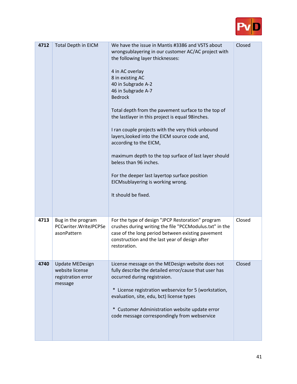

| 4712 | Total Depth in EICM                                                        | We have the issue in Mantis #3386 and VSTS about<br>wrongsublayering in our customer AC/AC project with<br>the following layer thicknesses:<br>4 in AC overlay<br>8 in existing AC<br>40 in Subgrade A-2<br>46 in Subgrade A-7<br><b>Bedrock</b><br>Total depth from the pavement surface to the top of<br>the lastlayer in this project is equal 98 inches.<br>I ran couple projects with the very thick unbound<br>layers, looked into the EICM source code and,<br>according to the EICM,<br>maximum depth to the top surface of last layer should<br>beless than 96 inches.<br>For the deeper last layertop surface position<br>EICMsublayering is working wrong.<br>It should be fixed. | Closed |
|------|----------------------------------------------------------------------------|----------------------------------------------------------------------------------------------------------------------------------------------------------------------------------------------------------------------------------------------------------------------------------------------------------------------------------------------------------------------------------------------------------------------------------------------------------------------------------------------------------------------------------------------------------------------------------------------------------------------------------------------------------------------------------------------|--------|
| 4713 | Bug in the program<br>PCCwriter.WriteJPCPSe<br>asonPattern                 | For the type of design "JPCP Restoration" program<br>crushes during writing the file "PCCModulus.txt" in the<br>case of the long period between existing pavement<br>construction and the last year of design after<br>restoration.                                                                                                                                                                                                                                                                                                                                                                                                                                                          | Closed |
| 4740 | <b>Update MEDesign</b><br>website license<br>registration error<br>message | License message on the MEDesign website does not<br>fully describe the detailed error/cause that user has<br>occurred during registraion.<br>* License registration webservice for 5 (workstation,<br>evaluation, site, edu, bct) license types<br>* Customer Administration website update error<br>code message correspondingly from webservice                                                                                                                                                                                                                                                                                                                                            | Closed |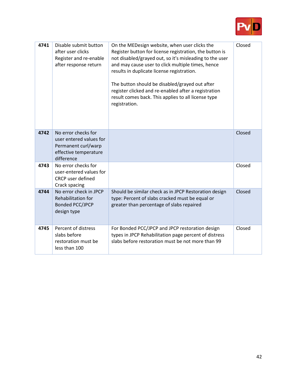

| 4741 | Disable submit button<br>after user clicks<br>Register and re-enable<br>after response return                | On the MEDesign website, when user clicks the<br>Register button for license registration, the button is<br>not disabled/grayed out, so it's misleading to the user<br>and may cause user to click multiple times, hence<br>results in duplicate license registration.<br>The button should be disabled/grayed out after<br>register clicked and re-enabled after a registration<br>result comes back. This applies to all license type<br>registration. | Closed |
|------|--------------------------------------------------------------------------------------------------------------|----------------------------------------------------------------------------------------------------------------------------------------------------------------------------------------------------------------------------------------------------------------------------------------------------------------------------------------------------------------------------------------------------------------------------------------------------------|--------|
| 4742 | No error checks for<br>user entered values for<br>Permanent curl/warp<br>effective temperature<br>difference |                                                                                                                                                                                                                                                                                                                                                                                                                                                          | Closed |
| 4743 | No error checks for<br>user-entered values for<br><b>CRCP</b> user defined<br>Crack spacing                  |                                                                                                                                                                                                                                                                                                                                                                                                                                                          | Closed |
| 4744 | No error check in JPCP<br>Rehabilitation for<br><b>Bonded PCC/JPCP</b><br>design type                        | Should be similar check as in JPCP Restoration design<br>type: Percent of slabs cracked must be equal or<br>greater than percentage of slabs repaired                                                                                                                                                                                                                                                                                                    | Closed |
| 4745 | Percent of distress<br>slabs before<br>restoration must be<br>less than 100                                  | For Bonded PCC/JPCP and JPCP restoration design<br>types in JPCP Rehabilitation page percent of distress<br>slabs before restoration must be not more than 99                                                                                                                                                                                                                                                                                            | Closed |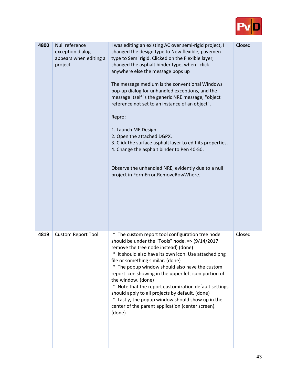

| 4800 | Null reference<br>exception dialog<br>appears when editing a<br>project | I was editing an existing AC over semi-rigid project, I<br>changed the design type to New flexible, pavemen<br>type to Semi rigid. Clicked on the Flexible layer,<br>changed the asphalt binder type, when i click<br>anywhere else the message pops up<br>The message medium is the conventional Windows<br>pop-up dialog for unhandled exceptions, and the<br>message itself is the generic NRE message, "object<br>reference not set to an instance of an object".<br>Repro:<br>1. Launch ME Design.<br>2. Open the attached DGPX.<br>3. Click the surface asphalt layer to edit its properties.<br>4. Change the asphalt binder to Pen 40-50.<br>Observe the unhandled NRE, evidently due to a null<br>project in FormError.RemoveRowWhere. | Closed |
|------|-------------------------------------------------------------------------|-------------------------------------------------------------------------------------------------------------------------------------------------------------------------------------------------------------------------------------------------------------------------------------------------------------------------------------------------------------------------------------------------------------------------------------------------------------------------------------------------------------------------------------------------------------------------------------------------------------------------------------------------------------------------------------------------------------------------------------------------|--------|
| 4819 | <b>Custom Report Tool</b>                                               | * The custom report tool configuration tree node<br>should be under the "Tools" node. = > $(9/14/2017)$<br>remove the tree node instead) (done)<br>* It should also have its own icon. Use attached png<br>file or something similar. (done)<br>* The popup window should also have the custom<br>report icon showing in the upper left icon portion of<br>the window. (done)<br>* Note that the report customization default settings<br>should apply to all projects by default. (done)<br>$\ast$<br>Lastly, the popup window should show up in the<br>center of the parent application (center screen).<br>(done)                                                                                                                            | Closed |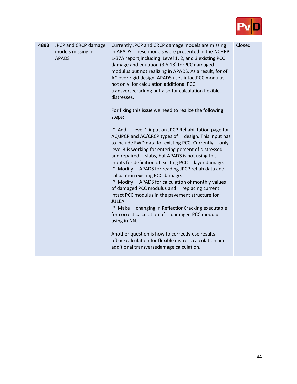

| 4893 | JPCP and CRCP damage<br>models missing in<br><b>APADS</b> | Currently JPCP and CRCP damage models are missing<br>in APADS. These models were presented in the NCHRP<br>1-37A report, including Level 1, 2, and 3 existing PCC<br>damage and equation (3.6.18) forPCC damaged<br>modulus but not realizing in APADS. As a result, for of<br>AC over rigid design, APADS uses intactPCC modulus<br>not only for calculation additional PCC<br>transversecracking but also for calculation flexible<br>distresses.<br>For fixing this issue we need to realize the following<br>steps:<br>* Add Level 1 input on JPCP Rehabilitation page for<br>AC/JPCP and AC/CRCP types of design. This input has<br>to include FWD data for existing PCC. Currently<br>only<br>level 3 is working for entering percent of distressed<br>slabs, but APADS is not using this<br>and repaired<br>inputs for definition of existing PCC layer damage.<br>* Modify APADS for reading JPCP rehab data and<br>calculation existing PCC damage.<br>* Modify APADS for calculation of monthly values<br>of damaged PCC modulus and replacing current<br>intact PCC modulus in the pavement structure for<br>JULEA.<br>* Make changing in ReflectionCracking executable<br>for correct calculation of damaged PCC modulus<br>using in NN.<br>Another question is how to correctly use results<br>ofbackcalculation for flexible distress calculation and<br>additional transversedamage calculation. | Closed |
|------|-----------------------------------------------------------|-----------------------------------------------------------------------------------------------------------------------------------------------------------------------------------------------------------------------------------------------------------------------------------------------------------------------------------------------------------------------------------------------------------------------------------------------------------------------------------------------------------------------------------------------------------------------------------------------------------------------------------------------------------------------------------------------------------------------------------------------------------------------------------------------------------------------------------------------------------------------------------------------------------------------------------------------------------------------------------------------------------------------------------------------------------------------------------------------------------------------------------------------------------------------------------------------------------------------------------------------------------------------------------------------------------------------------------------------------------------------------------------------------------------|--------|
|------|-----------------------------------------------------------|-----------------------------------------------------------------------------------------------------------------------------------------------------------------------------------------------------------------------------------------------------------------------------------------------------------------------------------------------------------------------------------------------------------------------------------------------------------------------------------------------------------------------------------------------------------------------------------------------------------------------------------------------------------------------------------------------------------------------------------------------------------------------------------------------------------------------------------------------------------------------------------------------------------------------------------------------------------------------------------------------------------------------------------------------------------------------------------------------------------------------------------------------------------------------------------------------------------------------------------------------------------------------------------------------------------------------------------------------------------------------------------------------------------------|--------|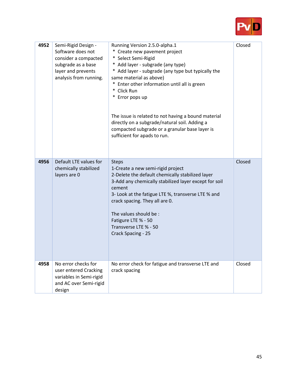

| 4952 | Semi-Rigid Design -<br>Software does not<br>consider a compacted<br>subgrade as a base<br>layer and prevents<br>analysis from running. | Running Version 2.5.0-alpha.1<br>* Create new pavement project<br>* Select Semi-Rigid<br>* Add layer - subgrade (any type)<br>* Add layer - subgrade (any type but typically the<br>same material as above)<br>* Enter other information until all is green<br>* Click Run<br>* Error pops up<br>The issue is related to not having a bound material<br>directly on a subgrade/natural soil. Adding a<br>compacted subgrade or a granular base layer is<br>sufficient for apads to run. | Closed |
|------|----------------------------------------------------------------------------------------------------------------------------------------|-----------------------------------------------------------------------------------------------------------------------------------------------------------------------------------------------------------------------------------------------------------------------------------------------------------------------------------------------------------------------------------------------------------------------------------------------------------------------------------------|--------|
| 4956 | Default LTE values for<br>chemically stabilized<br>layers are 0                                                                        | <b>Steps</b><br>1-Create a new semi-rigid project<br>2-Delete the default chemically stabilized layer<br>3-Add any chemically stabilized layer except for soil<br>cement<br>3- Look at the fatigue LTE %, transverse LTE % and<br>crack spacing. They all are 0.<br>The values should be :<br>Fatigure LTE % - 50<br>Transverse LTE % - 50<br>Crack Spacing - 25                                                                                                                        | Closed |
| 4958 | No error checks for<br>user entered Cracking<br>variables in Semi-rigid<br>and AC over Semi-rigid<br>design                            | No error check for fatigue and transverse LTE and<br>crack spacing                                                                                                                                                                                                                                                                                                                                                                                                                      | Closed |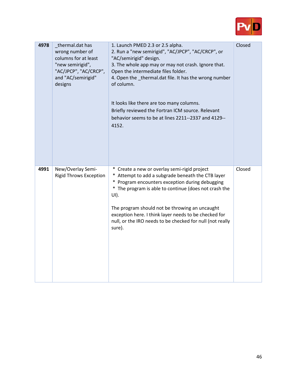

| 4978 | thermal.dat has<br>wrong number of<br>columns for at least<br>"new semirigid",<br>"AC/JPCP", "AC/CRCP",<br>and "AC/semirigid"<br>designs | 1. Launch PMED 2.3 or 2.5 alpha.<br>2. Run a "new semirigid", "AC/JPCP", "AC/CRCP", or<br>"AC/semirigid" design.<br>3. The whole app may or may not crash. Ignore that.<br>Open the intermediate files folder.<br>4. Open the thermal.dat file. It has the wrong number<br>of column.<br>It looks like there are too many columns.<br>Briefly reviewed the Fortran ICM source. Relevant<br>behavior seems to be at lines 2211--2337 and 4129--<br>4152. | Closed |
|------|------------------------------------------------------------------------------------------------------------------------------------------|---------------------------------------------------------------------------------------------------------------------------------------------------------------------------------------------------------------------------------------------------------------------------------------------------------------------------------------------------------------------------------------------------------------------------------------------------------|--------|
| 4991 | New/Overlay Semi-<br><b>Rigid Throws Exception</b>                                                                                       | * Create a new or overlay semi-rigid project<br>* Attempt to add a subgrade beneath the CTB layer<br>* Program encounters exception during debugging<br>* The program is able to continue (does not crash the<br>UI).<br>The program should not be throwing an uncaught<br>exception here. I think layer needs to be checked for<br>null, or the IRO needs to be checked for null (not really<br>sure).                                                 | Closed |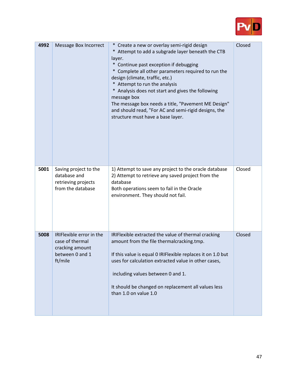

| 4992 | <b>Message Box Incorrect</b>                                                                 | * Create a new or overlay semi-rigid design<br>* Attempt to add a subgrade layer beneath the CTB<br>layer.<br>Continue past exception if debugging<br>$\ast$<br>* Complete all other parameters required to run the<br>design (climate, traffic, etc.)<br>* Attempt to run the analysis<br>* Analysis does not start and gives the following<br>message box<br>The message box needs a title, "Pavement ME Design"<br>and should read, "For AC and semi-rigid designs, the<br>structure must have a base layer. | Closed |
|------|----------------------------------------------------------------------------------------------|-----------------------------------------------------------------------------------------------------------------------------------------------------------------------------------------------------------------------------------------------------------------------------------------------------------------------------------------------------------------------------------------------------------------------------------------------------------------------------------------------------------------|--------|
| 5001 | Saving project to the<br>database and<br>retrieving projects<br>from the database            | 1) Attempt to save any project to the oracle database<br>2) Attempt to retrieve any saved project from the<br>database<br>Both operations seem to fail in the Oracle<br>environment. They should not fail.                                                                                                                                                                                                                                                                                                      | Closed |
| 5008 | IRIFlexible error in the<br>case of thermal<br>cracking amount<br>between 0 and 1<br>ft/mile | IRIFlexible extracted the value of thermal cracking<br>amount from the file thermalcracking.tmp.<br>If this value is equal 0 IRIFlexible replaces it on 1.0 but<br>uses for calculation extracted value in other cases,<br>including values between 0 and 1.<br>It should be changed on replacement all values less<br>than 1.0 on value 1.0                                                                                                                                                                    | Closed |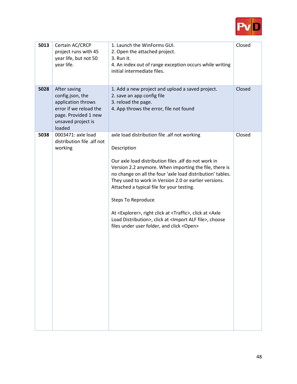

| 5013 | Certain AC/CRCP<br>project runs with 45<br>year life, but not 50<br>year life.                                                           | 1. Launch the WinForms GUI.<br>2. Open the attached project.<br>3. Run it.<br>4. An index out of range exception occurs while writing<br>initial intermediate files.                                                                                                                                                                                                                                                                                                                                                                                                                                      | Closed |
|------|------------------------------------------------------------------------------------------------------------------------------------------|-----------------------------------------------------------------------------------------------------------------------------------------------------------------------------------------------------------------------------------------------------------------------------------------------------------------------------------------------------------------------------------------------------------------------------------------------------------------------------------------------------------------------------------------------------------------------------------------------------------|--------|
| 5028 | After saving<br>config.json, the<br>application throws<br>error if we reload the<br>page. Provided 1 new<br>unsaved project is<br>loaded | 1. Add a new project and upload a saved project.<br>2. save an app config file<br>3. reload the page.<br>4. App throws the error, file not found                                                                                                                                                                                                                                                                                                                                                                                                                                                          | Closed |
| 5038 | 0003471: axle load<br>distribution file .alf not<br>working                                                                              | axle load distribution file .alf not working<br>Description<br>Our axle load distribution files .alf do not work in<br>Version 2.2 anymore. When importing the file, there is<br>no change on all the four 'axle load distribution' tables.<br>They used to work in Version 2.0 or earlier versions.<br>Attached a typical file for your testing.<br><b>Steps To Reproduce</b><br>At <explorer>, right click at <traffic>, click at <axle<br>Load Distribution&gt;, click at <import alf="" file="">, choose<br/>files under user folder, and click <open></open></import></axle<br></traffic></explorer> | Closed |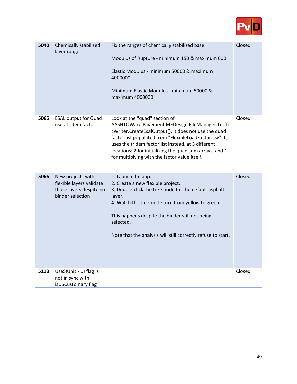

| 5040 | Chemically stabilized<br>layer range                                                         | Fix the ranges of chemically stabilized base<br>Modulus of Rupture - minimum 150 & maximum 600<br>Elastic Modulus - minimum 50000 & maximum<br>4000000<br>Minimum Elastic Modulus - minimum 50000 &<br>maximum 4000000                                                                                                                                                  | Closed |
|------|----------------------------------------------------------------------------------------------|-------------------------------------------------------------------------------------------------------------------------------------------------------------------------------------------------------------------------------------------------------------------------------------------------------------------------------------------------------------------------|--------|
| 5065 | <b>ESAL output for Quad</b><br>uses Tridem factors                                           | Look at the "quad" section of<br>AASHTOWare.Pavement.MEDesign.FileManager.Traffi<br>cWriter.CreateEsalOutput(). It does not use the quad<br>factor list populated from "FlexibleLoadFactor.csv". It<br>uses the tridem factor list instead, at 3 different<br>locations: 2 for initializing the quad sum arrays, and 1<br>for multiplying with the factor value itself. | Closed |
| 5066 | New projects with<br>flexible layers validate<br>those layers despite no<br>binder selection | 1. Launch the app.<br>2. Create a new flexible project.<br>3. Double-click the tree-node for the default asphalt<br>layer.<br>4. Watch the tree-node turn from yellow to green.<br>This happens despite the binder still not being<br>selected.<br>Note that the analysis will still correctly refuse to start.                                                         | Closed |
| 5113 | UseSIUnit - UI flag is<br>not in sync with<br>isUSCustomary flag                             |                                                                                                                                                                                                                                                                                                                                                                         | Closed |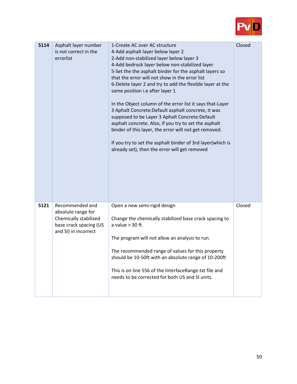

| 5114 | Asphalt layer number<br>is not correct in the<br>errorlist                                                       | 1-Create AC over AC structure<br>4-Add asphalt layer below layer 2<br>2-Add non-stabilized layer below layer 3<br>4-Add bedrock layer below non-stabilized layer<br>5-Set the the asphalt binder for the asphalt layers so<br>that the error will not show in the error list<br>6-Delete layer 2 and try to add the flexible layer at the<br>same position i.e after layer 1<br>In the Object column of the error list it says that-Layer<br>3 Aphalt Concrete: Default asphalt concrete, it was<br>supposed to be Layer 3 Aphalt Concrete: Default<br>asphalt concrete. Also, if you try to set the asphalt<br>binder of this layer, the error will not get removed.<br>If you try to set the asphalt binder of 3rd layer(which is<br>already set), then the error will get removed | Closed |
|------|------------------------------------------------------------------------------------------------------------------|--------------------------------------------------------------------------------------------------------------------------------------------------------------------------------------------------------------------------------------------------------------------------------------------------------------------------------------------------------------------------------------------------------------------------------------------------------------------------------------------------------------------------------------------------------------------------------------------------------------------------------------------------------------------------------------------------------------------------------------------------------------------------------------|--------|
| 5121 | Recommended and<br>absolute range for<br>Chemically stabilized<br>base crack spacing (US<br>and SI) in incorrect | Open a new semi-rigid design<br>Change the chemically stabilized base crack spacing to<br>a value $>$ 30 ft.<br>The program will not allow an analysis to run.<br>The recommended range of values for this property<br>should be 10-50ft with an absolute range of 10-200ft<br>This is on line 556 of the InterfaceRange.txt file and<br>needs to be corrected for both US and SI units.                                                                                                                                                                                                                                                                                                                                                                                             | Closed |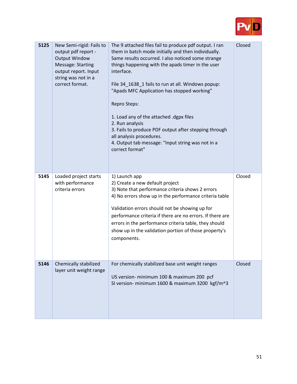

| 5125 | New Semi-rigid: Fails to<br>output pdf report -<br><b>Output Window</b><br>Message: Starting<br>output report. Input<br>string was not in a<br>correct format. | The 9 attached files fail to produce pdf output. I ran<br>them in batch mode initially and then individually.<br>Same results occurred. I also noticed some strange<br>things happening with the apads timer in the user<br>interface.<br>File 34_1638_1 fails to run at all. Windows popup:<br>"Apads MFC Application has stopped working"<br>Repro Steps:<br>1. Load any of the attached .dgpx files<br>2. Run analysis<br>3. Fails to produce PDF output after stepping through<br>all analysis procedures.<br>4. Output tab message: "Input string was not in a<br>correct format" | Closed |
|------|----------------------------------------------------------------------------------------------------------------------------------------------------------------|----------------------------------------------------------------------------------------------------------------------------------------------------------------------------------------------------------------------------------------------------------------------------------------------------------------------------------------------------------------------------------------------------------------------------------------------------------------------------------------------------------------------------------------------------------------------------------------|--------|
| 5145 | Loaded project starts<br>with performance<br>criteria errors                                                                                                   | 1) Launch app<br>2) Create a new default project<br>3) Note that performance criteria shows 2 errors<br>4) No errors show up in the performance criteria table<br>Validation errors should not be showing up for<br>performance criteria if there are no errors. If there are<br>errors in the performance criteria table, they should<br>show up in the validation portion of those property's<br>components.                                                                                                                                                                         | Closed |
| 5146 | Chemically stabilized<br>layer unit weight range                                                                                                               | For chemically stabilized base unit weight ranges<br>US version- minimum 100 & maximum 200 pcf<br>SI version- minimum 1600 & maximum 3200 kgf/m^3                                                                                                                                                                                                                                                                                                                                                                                                                                      | Closed |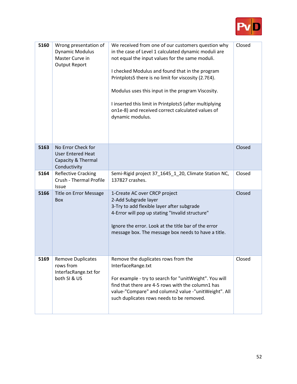

| 5160 | Wrong presentation of<br><b>Dynamic Modulus</b><br>Master Curve in<br><b>Output Report</b> | We received from one of our customers question why<br>in the case of Level 1 calculated dynamic moduli are<br>not equal the input values for the same moduli.<br>I checked Modulus and found that in the program<br>Printplots5 there is no limit for viscosity (2.7E4).<br>Modulus uses this input in the program Viscosity.<br>I inserted this limit in Printplots5 (after multiplying<br>on1e-8) and received correct calculated values of<br>dynamic modulus. | Closed |
|------|--------------------------------------------------------------------------------------------|-------------------------------------------------------------------------------------------------------------------------------------------------------------------------------------------------------------------------------------------------------------------------------------------------------------------------------------------------------------------------------------------------------------------------------------------------------------------|--------|
| 5163 | No Error Check for<br><b>User Entered Heat</b><br>Capacity & Thermal<br>Conductivity       |                                                                                                                                                                                                                                                                                                                                                                                                                                                                   | Closed |
| 5164 | <b>Reflective Cracking</b><br>Crush - Thermal Profile<br>Issue                             | Semi-Rigid project 37 1645 1 20, Climate Station NC,<br>137827 crashes.                                                                                                                                                                                                                                                                                                                                                                                           | Closed |
| 5166 | Title on Error Message<br><b>Box</b>                                                       | 1-Create AC over CRCP project<br>2-Add Subgrade layer<br>3-Try to add flexible layer after subgrade<br>4-Error will pop up stating "Invalid structure"<br>Ignore the error. Look at the title bar of the error<br>message box. The message box needs to have a title.                                                                                                                                                                                             | Closed |
| 5169 | <b>Remove Duplicates</b><br>rows from<br>InterfacRange.txt for<br>both SI & US             | Remove the duplicates rows from the<br>InterfaceRange.txt<br>For example - try to search for "unitWeight". You will<br>find that there are 4-5 rows with the column1 has<br>value-"Compare" and column2 value -"unitWeight". All<br>such duplicates rows needs to be removed.                                                                                                                                                                                     | Closed |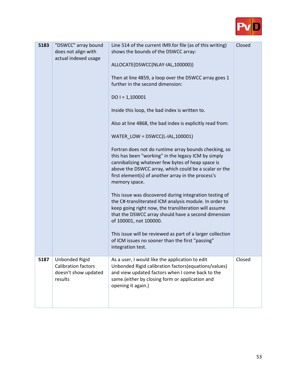

| 5183 | "DSWCC" array bound<br>does not align with<br>actual indexed usage              | Line 514 of the current IM9.for file (as of this writing)<br>shows the bounds of the DSWCC array:<br>ALLOCATE(DSWCC(NLAY-IAL,100000))<br>Then at line 4859, a loop over the DSWCC array goes 1<br>further in the second dimension:<br>$DO = 1,100001$<br>Inside this loop, the bad index is written to.<br>Also at line 4868, the bad index is explicitly read from:<br>WATER_LOW = DSWCC(L-IAL,100001)<br>Fortran does not do runtime array bounds checking, so<br>this has been "working" in the legacy ICM by simply<br>cannibalizing whatever few bytes of heap space is<br>above the DSWCC array, which could be a scalar or the<br>first element(s) of another array in the process's<br>memory space.<br>This issue was discovered during integration testing of<br>the C#-transliterated ICM analysis module. In order to<br>keep going right now, the transliteration will assume<br>that the DSWCC array should have a second dimension<br>of 100001, not 100000.<br>This issue will be reviewed as part of a larger collection<br>of ICM issues no sooner than the first "passing"<br>integration test. | Closed |
|------|---------------------------------------------------------------------------------|--------------------------------------------------------------------------------------------------------------------------------------------------------------------------------------------------------------------------------------------------------------------------------------------------------------------------------------------------------------------------------------------------------------------------------------------------------------------------------------------------------------------------------------------------------------------------------------------------------------------------------------------------------------------------------------------------------------------------------------------------------------------------------------------------------------------------------------------------------------------------------------------------------------------------------------------------------------------------------------------------------------------------------------------------------------------------------------------------------------------|--------|
| 5187 | Unbonded Rigid<br><b>Calibration factors</b><br>doesn't show updated<br>results | As a user, I would like the application to edit<br>Unbonded Rigid calibration factors (equations/values)<br>and view updated factors when I come back to the<br>same.(either by closing form or application and<br>opening it again.)                                                                                                                                                                                                                                                                                                                                                                                                                                                                                                                                                                                                                                                                                                                                                                                                                                                                              | Closed |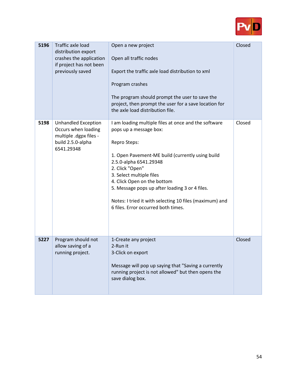

| 5196 | Traffic axle load<br>distribution export<br>crashes the application<br>if project has not been<br>previously saved | Open a new project<br>Open all traffic nodes<br>Export the traffic axle load distribution to xml<br>Program crashes<br>The program should prompt the user to save the<br>project, then prompt the user for a save location for<br>the axle load distribution file.                                                                                                                                             | Closed |
|------|--------------------------------------------------------------------------------------------------------------------|----------------------------------------------------------------------------------------------------------------------------------------------------------------------------------------------------------------------------------------------------------------------------------------------------------------------------------------------------------------------------------------------------------------|--------|
| 5198 | <b>Unhandled Exception</b><br>Occurs when loading<br>multiple .dgpx files -<br>build 2.5.0-alpha<br>6541.29348     | I am loading multiple files at once and the software<br>pops up a message box:<br>Repro Steps:<br>1. Open Pavement-ME build (currently using build<br>2.5.0-alpha 6541.29348<br>2. Click "Open"<br>3. Select multiple files<br>4. Click Open on the bottom<br>5. Message pops up after loading 3 or 4 files.<br>Notes: I tried it with selecting 10 files (maximum) and<br>6 files. Error occurred both times. | Closed |
| 5227 | Program should not<br>allow saving of a<br>running project.                                                        | 1-Create any project<br>2-Run it<br>3-Click on export<br>Message will pop up saying that "Saving a currently<br>running project is not allowed" but then opens the<br>save dialog box.                                                                                                                                                                                                                         | Closed |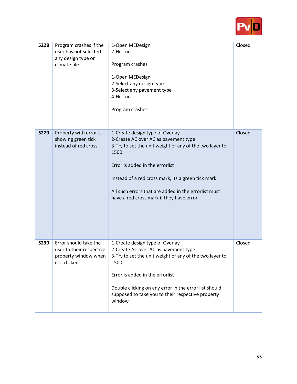

| 5228 | Program crashes if the<br>user has not selected<br>any design type or<br>climate file      | 1-Open MEDesign<br>2-Hit run<br>Program crashes<br>1-Open MEDesign<br>2-Select any design type<br>3-Select any pavement type<br>4-Hit run<br>Program crashes                                                                                                                                                                            | Closed |
|------|--------------------------------------------------------------------------------------------|-----------------------------------------------------------------------------------------------------------------------------------------------------------------------------------------------------------------------------------------------------------------------------------------------------------------------------------------|--------|
| 5229 | Property with error is<br>showing green tick<br>instead of red cross                       | 1-Create design type of Overlay<br>2-Create AC over AC as pavement type<br>3-Try to set the unit weight of any of the two layer to<br>1500<br>Error is added in the errorlist<br>Instead of a red cross mark, its a green tick mark<br>All such errors that are added in the errorlist must<br>have a red cross mark if they have error | Closed |
| 5230 | Error should take the<br>user to their respective<br>property window when<br>it is clicked | 1-Create design type of Overlay<br>2-Create AC over AC as pavement type<br>3-Try to set the unit weight of any of the two layer to<br>1500<br>Error is added in the errorlist<br>Double clicking on any error in the error list should<br>supposed to take you to their respective property<br>window                                   | Closed |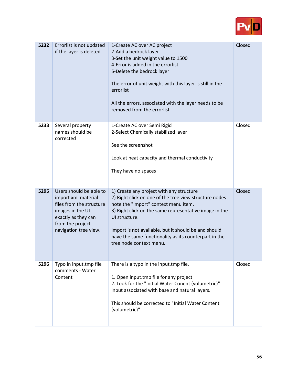

| 5232 | Errorlist is not updated<br>if the layer is deleted                                                                                                                | 1-Create AC over AC project<br>2-Add a bedrock layer<br>3-Set the unit weight value to 1500<br>4-Error is added in the errorlist<br>5-Delete the bedrock layer<br>The error of unit weight with this layer is still in the<br>errorlist<br>All the errors, associated with the layer needs to be<br>removed from the errorlist                                    | Closed |
|------|--------------------------------------------------------------------------------------------------------------------------------------------------------------------|-------------------------------------------------------------------------------------------------------------------------------------------------------------------------------------------------------------------------------------------------------------------------------------------------------------------------------------------------------------------|--------|
| 5233 | Several property<br>names should be<br>corrected                                                                                                                   | 1-Create AC over Semi Rigid<br>2-Select Chemically stabilized layer<br>See the screenshot<br>Look at heat capacity and thermal conductivity<br>They have no spaces                                                                                                                                                                                                | Closed |
| 5295 | Users should be able to<br>import xml material<br>files from the structure<br>images in the UI<br>exactly as they can<br>from the project<br>navigation tree view. | 1) Create any project with any structure<br>2) Right click on one of the tree view structure nodes<br>note the "Import" context menu item.<br>3) Right click on the same representative image in the<br>UI structure.<br>Import is not available, but it should be and should<br>have the same functionality as its counterpart in the<br>tree node context menu. | Closed |
| 5296 | Typo in input.tmp file<br>comments - Water<br>Content                                                                                                              | There is a typo in the input.tmp file.<br>1. Open input.tmp file for any project<br>2. Look for the "Initial Water Conent (volumetric)"<br>input associated with base and natural layers.<br>This should be corrected to "Initial Water Content"<br>(volumetric)"                                                                                                 | Closed |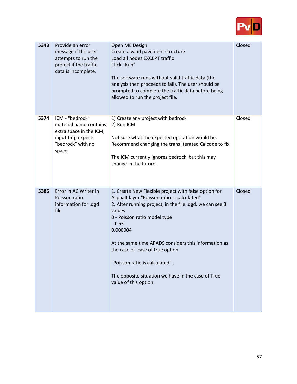

| 5343 | Provide an error<br>message if the user<br>attempts to run the<br>project if the traffic<br>data is incomplete.         | Open ME Design<br>Create a valid pavement structure<br>Load all nodes EXCEPT traffic<br>Click "Run"<br>The software runs without valid traffic data (the<br>analysis then proceeds to fail). The user should be<br>prompted to complete the traffic data before being<br>allowed to run the project file.                                                                                                                                    | Closed |
|------|-------------------------------------------------------------------------------------------------------------------------|----------------------------------------------------------------------------------------------------------------------------------------------------------------------------------------------------------------------------------------------------------------------------------------------------------------------------------------------------------------------------------------------------------------------------------------------|--------|
| 5374 | ICM - "bedrock"<br>material name contains<br>extra space in the ICM,<br>input.tmp expects<br>"bedrock" with no<br>space | 1) Create any project with bedrock<br>2) Run ICM<br>Not sure what the expected operation would be.<br>Recommend changing the transliterated C# code to fix.<br>The ICM currently ignores bedrock, but this may<br>change in the future.                                                                                                                                                                                                      | Closed |
| 5385 | Error in AC Writer in<br>Poisson ratio<br>information for .dgd<br>file                                                  | 1. Create New Flexible project with false option for<br>Asphalt layer "Poisson ratio is calculated"<br>2. After running project, in the file .dgd. we can see 3<br>values<br>0 - Poisson ratio model type<br>$-1.63$<br>0.000004<br>At the same time APADS considers this information as<br>the case of case of true option<br>"Poisson ratio is calculated".<br>The opposite situation we have in the case of True<br>value of this option. | Closed |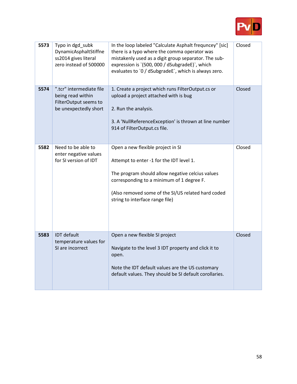

| 5573 | Typo in dgd_subk<br>DynamicAsphaltStiffne<br>ss2014 gives literal<br>zero instead of 500000     | In the loop labeled "Calculate Asphalt frequncey" [sic]<br>there is a typo where the comma operator was<br>mistakenly used as a digit group separator. The sub-<br>expression is '(500, 000 / dSubgradeE)', which<br>evaluates to `0 / dSubgradeE`, which is always zero. | Closed |
|------|-------------------------------------------------------------------------------------------------|---------------------------------------------------------------------------------------------------------------------------------------------------------------------------------------------------------------------------------------------------------------------------|--------|
| 5574 | ".tcr" intermediate file<br>being read within<br>FilterOutput seems to<br>be unexpectedly short | 1. Create a project which runs FilterOutput.cs or<br>upload a project attached with is bug<br>2. Run the analysis.<br>3. A 'NullReferenceException' is thrown at line number<br>914 of FilterOutput.cs file.                                                              | Closed |
| 5582 | Need to be able to<br>enter negative values<br>for SI version of IDT                            | Open a new flexible project in SI<br>Attempt to enter -1 for the IDT level 1.<br>The program should allow negative celcius values<br>corresponding to a minimum of 1 degree F.<br>(Also removed some of the SI/US related hard coded<br>string to interface range file)   | Closed |
| 5583 | <b>IDT</b> default<br>temperature values for<br>SI are incorrect                                | Open a new flexible SI project<br>Navigate to the level 3 IDT property and click it to<br>open.<br>Note the IDT default values are the US customary<br>default values. They should be SI default corollaries.                                                             | Closed |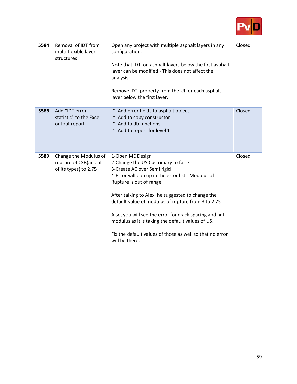

| 5584 | Removal of IDT from<br>multi-flexible layer<br>structures                | Open any project with multiple asphalt layers in any<br>configuration.<br>Note that IDT on asphalt layers below the first asphalt<br>layer can be modified - This does not affect the<br>analysis<br>Remove IDT property from the UI for each asphalt<br>layer below the first layer.                                                                                                                                                                                           | Closed |
|------|--------------------------------------------------------------------------|---------------------------------------------------------------------------------------------------------------------------------------------------------------------------------------------------------------------------------------------------------------------------------------------------------------------------------------------------------------------------------------------------------------------------------------------------------------------------------|--------|
| 5586 | Add "IDT error<br>statistic" to the Excel<br>output report               | * Add error fields to asphalt object<br>* Add to copy constructor<br>* Add to db functions<br>* Add to report for level 1                                                                                                                                                                                                                                                                                                                                                       | Closed |
| 5589 | Change the Modulus of<br>rupture of CSB(and all<br>of its types) to 2.75 | 1-Open ME Design<br>2-Change the US Customary to false<br>3-Create AC over Semi rigid<br>4-Error will pop up in the error list - Modulus of<br>Rupture is out of range.<br>After talking to Alex, he suggested to change the<br>default value of modulus of rupture from 3 to 2.75<br>Also, you will see the error for crack spacing and ndt<br>modulus as it is taking the default values of US.<br>Fix the default values of those as well so that no error<br>will be there. | Closed |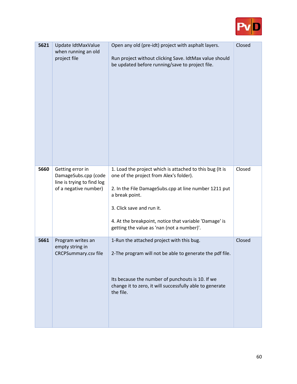

| 5621 | Update IdtMaxValue<br>when running an old<br>project file                                       | Open any old (pre-idt) project with asphalt layers.<br>Run project without clicking Save. IdtMax value should<br>be updated before running/save to project file.                                                                                                                                                    | Closed |
|------|-------------------------------------------------------------------------------------------------|---------------------------------------------------------------------------------------------------------------------------------------------------------------------------------------------------------------------------------------------------------------------------------------------------------------------|--------|
| 5660 | Getting error in<br>DamageSubs.cpp (code<br>line is trying to find log<br>of a negative number) | 1. Load the project which is attached to this bug (It is<br>one of the project from Alex's folder).<br>2. In the File DamageSubs.cpp at line number 1211 put<br>a break point.<br>3. Click save and run it.<br>4. At the breakpoint, notice that variable 'Damage' is<br>getting the value as 'nan (not a number)'. | Closed |
| 5661 | Program writes an<br>empty string in<br><b>CRCPSummary.csv file</b>                             | 1-Run the attached project with this bug.<br>2-The program will not be able to generate the pdf file.<br>Its because the number of punchouts is 10. If we<br>change it to zero, it will successfully able to generate<br>the file.                                                                                  | Closed |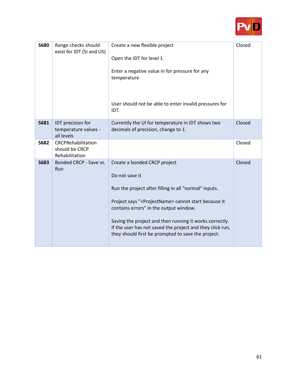

| 5680 | Range checks should<br>exist for IDT (SI and US)        | Create a new flexible project<br>Open the IDT for level 1<br>Enter a negative value in for pressure for any<br>temperature<br>User should not be able to enter invalid pressures for<br>IDT.                                                                                                                                                                                                              | Closed |
|------|---------------------------------------------------------|-----------------------------------------------------------------------------------------------------------------------------------------------------------------------------------------------------------------------------------------------------------------------------------------------------------------------------------------------------------------------------------------------------------|--------|
| 5681 | IDT precision for<br>temperature values -<br>all levels | Currently the UI for temperature in IDT shows two<br>decimals of precision, change to 1.                                                                                                                                                                                                                                                                                                                  | Closed |
| 5682 | CRCPRehabilitation<br>should be CRCP<br>Rehabilitation  |                                                                                                                                                                                                                                                                                                                                                                                                           | Closed |
| 5683 | Bonded CRCP - Save vs.<br>Run                           | Create a bonded CRCP project<br>Do not save it<br>Run the project after filling in all "normal" inputs.<br>Project says " <projectname> cannot start because it<br/>contains errors" in the output window.<br/>Saving the project and then running it works correctly.<br/>If the user has not saved the project and they click run,<br/>they should first be prompted to save the project.</projectname> | Closed |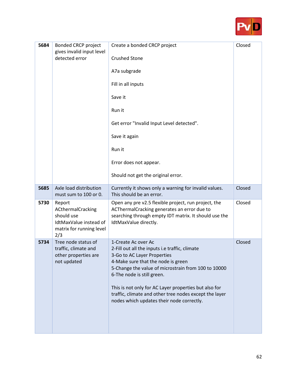

| 5684 | <b>Bonded CRCP project</b><br>gives invalid input level<br>detected error                              | Create a bonded CRCP project<br><b>Crushed Stone</b><br>A7a subgrade<br>Fill in all inputs<br>Save it<br>Run it<br>Get error "Invalid Input Level detected".<br>Save it again<br>Run it<br>Error does not appear.<br>Should not get the original error.                                                                                                                                         | Closed |
|------|--------------------------------------------------------------------------------------------------------|-------------------------------------------------------------------------------------------------------------------------------------------------------------------------------------------------------------------------------------------------------------------------------------------------------------------------------------------------------------------------------------------------|--------|
| 5685 | Axle load distribution<br>must sum to 100 or 0.                                                        | Currently it shows only a warning for invalid values.<br>This should be an error.                                                                                                                                                                                                                                                                                                               | Closed |
| 5730 | Report<br>ACthermalCracking<br>should use<br>IdtMaxValue instead of<br>matrix for running level<br>2/3 | Open any pre v2.5 flexible project, run project, the<br>ACThermalCracking generates an error due to<br>searching through empty IDT matrix. It should use the<br>IdtMaxValue directly.                                                                                                                                                                                                           | Closed |
| 5734 | Tree node status of<br>traffic, climate and<br>other properties are<br>not updated                     | 1-Create Ac over Ac<br>2-Fill out all the inputs i.e traffic, climate<br>3-Go to AC Layer Properties<br>4-Make sure that the node is green<br>5-Change the value of microstrain from 100 to 10000<br>6-The node is still green.<br>This is not only for AC Layer properties but also for<br>traffic, climate and other tree nodes except the layer<br>nodes which updates their node correctly. | Closed |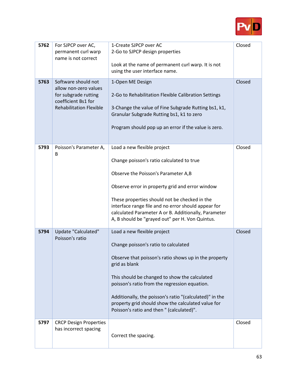

| 5762 | For SJPCP over AC,<br>permanent curl warp<br>name is not correct                                                              | 1-Create SJPCP over AC<br>2-Go to SJPCP design properties<br>Look at the name of permanent curl warp. It is not<br>using the user interface name.                                                                                                                                                                                                                                                             | Closed |
|------|-------------------------------------------------------------------------------------------------------------------------------|---------------------------------------------------------------------------------------------------------------------------------------------------------------------------------------------------------------------------------------------------------------------------------------------------------------------------------------------------------------------------------------------------------------|--------|
| 5763 | Software should not<br>allow non-zero values<br>for subgrade rutting<br>coefficient Bs1 for<br><b>Rehabilitation Flexible</b> | 1-Open ME Design<br>2-Go to Rehabilitation Flexible Calibration Settings<br>3-Change the value of Fine Subgrade Rutting bs1, k1,<br>Granular Subgrade Rutting bs1, k1 to zero<br>Program should pop up an error if the value is zero.                                                                                                                                                                         | Closed |
| 5793 | Poisson's Parameter A,<br>B                                                                                                   | Load a new flexible project<br>Change poisson's ratio calculated to true<br>Observe the Poisson's Parameter A,B<br>Observe error in property grid and error window<br>These properties should not be checked in the<br>interface range file and no error should appear for<br>calculated Parameter A or B. Additionally, Parameter<br>A, B should be "grayed out" per H. Von Quintus.                         | Closed |
| 5794 | Update "Calculated"<br>Poisson's ratio                                                                                        | Load a new flexible project<br>Change poisson's ratio to calculated<br>Observe that poisson's ratio shows up in the property<br>grid as blank<br>This should be changed to show the calculated<br>poisson's ratio from the regression equation.<br>Additionally, the poisson's ratio "(calculated)" in the<br>property grid should show the calculated value for<br>Poisson's ratio and then " (calculated)". | Closed |
| 5797 | <b>CRCP Design Properties</b><br>has incorrect spacing                                                                        | Correct the spacing.                                                                                                                                                                                                                                                                                                                                                                                          | Closed |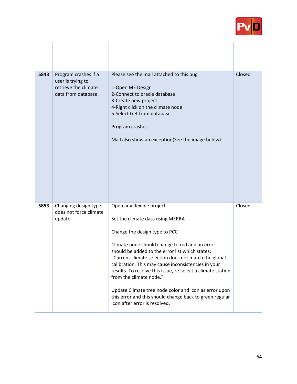

| 5843 | Program crashes if a<br>user is trying to<br>retrieve the climate<br>data from database | Please see the mail attached to this bug<br>1-Open ME Design<br>2-Connect to oracle database<br>3-Create new project<br>4-Right click on the climate node<br>5-Select Get from database<br>Program crashes<br>Mail also show an exception(See the image below)                                                                                                                                                                                                                                                                                                    | Closed |
|------|-----------------------------------------------------------------------------------------|-------------------------------------------------------------------------------------------------------------------------------------------------------------------------------------------------------------------------------------------------------------------------------------------------------------------------------------------------------------------------------------------------------------------------------------------------------------------------------------------------------------------------------------------------------------------|--------|
| 5853 | Changing design type<br>does not force climate<br>update                                | Open any flexible project<br>Set the climate data using MERRA<br>Change the design type to PCC<br>Climate node should change to red and an error<br>should be added to the error list which states:<br>"Current climate selection does not match the global<br>calibration. This may cause inconsistencies in your<br>results. To resolve this issue, re-select a climate station<br>from the climate node."<br>Update Climate tree node color and icon as error upon<br>this error and this should change back to green regular<br>icon after error is resolved. | Closed |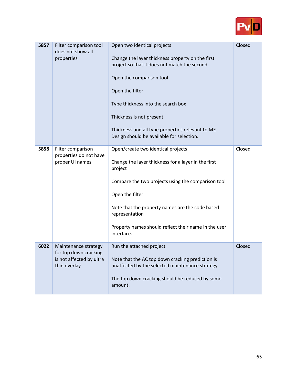

| 5857 | Filter comparison tool<br>does not show all<br>properties                                 | Open two identical projects<br>Change the layer thickness property on the first<br>project so that it does not match the second.<br>Open the comparison tool<br>Open the filter<br>Type thickness into the search box<br>Thickness is not present<br>Thickness and all type properties relevant to ME<br>Design should be available for selection. | Closed |
|------|-------------------------------------------------------------------------------------------|----------------------------------------------------------------------------------------------------------------------------------------------------------------------------------------------------------------------------------------------------------------------------------------------------------------------------------------------------|--------|
| 5858 | Filter comparison<br>properties do not have<br>proper UI names                            | Open/create two identical projects<br>Change the layer thickness for a layer in the first<br>project<br>Compare the two projects using the comparison tool<br>Open the filter<br>Note that the property names are the code based<br>representation<br>Property names should reflect their name in the user<br>interface.                           | Closed |
| 6022 | Maintenance strategy<br>for top down cracking<br>is not affected by ultra<br>thin overlay | Run the attached project<br>Note that the AC top down cracking prediction is<br>unaffected by the selected maintenance strategy<br>The top down cracking should be reduced by some<br>amount.                                                                                                                                                      | Closed |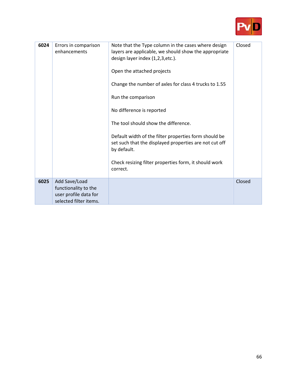

| 6024 | Errors in comparison<br>enhancements                                                     | Note that the Type column in the cases where design<br>layers are applicable, we should show the appropriate<br>design layer index (1,2,3,etc.).<br>Open the attached projects<br>Change the number of axles for class 4 trucks to 1.55<br>Run the comparison<br>No difference is reported<br>The tool should show the difference.<br>Default width of the filter properties form should be<br>set such that the displayed properties are not cut off<br>by default.<br>Check resizing filter properties form, it should work<br>correct. | Closed |
|------|------------------------------------------------------------------------------------------|-------------------------------------------------------------------------------------------------------------------------------------------------------------------------------------------------------------------------------------------------------------------------------------------------------------------------------------------------------------------------------------------------------------------------------------------------------------------------------------------------------------------------------------------|--------|
| 6025 | Add Save/Load<br>functionality to the<br>user profile data for<br>selected filter items. |                                                                                                                                                                                                                                                                                                                                                                                                                                                                                                                                           | Closed |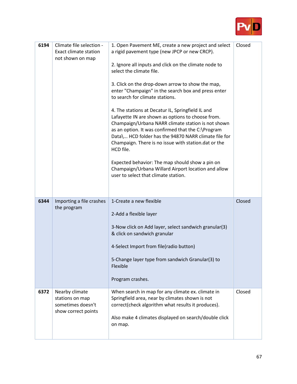

| 6194 | Climate file selection -<br><b>Exact climate station</b><br>not shown on map  | 1. Open Pavement ME, create a new project and select<br>a rigid pavement type (new JPCP or new CRCP).<br>2. Ignore all inputs and click on the climate node to<br>select the climate file.<br>3. Click on the drop-down arrow to show the map,<br>enter "Champaign" in the search box and press enter<br>to search for climate stations.<br>4. The stations at Decatur IL, Springfield IL and<br>Lafayette IN are shown as options to choose from.<br>Champaign/Urbana NARR climate station is not shown<br>as an option. It was confirmed that the C:\Program<br>Data\ HCD folder has the 94870 NARR climate file for<br>Champaign. There is no issue with station.dat or the<br>HCD file.<br>Expected behavior: The map should show a pin on<br>Champaign/Urbana Willard Airport location and allow<br>user to select that climate station. | Closed |
|------|-------------------------------------------------------------------------------|-----------------------------------------------------------------------------------------------------------------------------------------------------------------------------------------------------------------------------------------------------------------------------------------------------------------------------------------------------------------------------------------------------------------------------------------------------------------------------------------------------------------------------------------------------------------------------------------------------------------------------------------------------------------------------------------------------------------------------------------------------------------------------------------------------------------------------------------------|--------|
| 6344 | Importing a file crashes<br>the program                                       | 1-Create a new flexible<br>2-Add a flexible layer<br>3-Now click on Add layer, select sandwich granular(3)<br>& click on sandwich granular<br>4-Select Import from file(radio button)<br>5-Change layer type from sandwich Granular(3) to<br>Flexible<br>Program crashes.                                                                                                                                                                                                                                                                                                                                                                                                                                                                                                                                                                     | Closed |
| 6372 | Nearby climate<br>stations on map<br>sometimes doesn't<br>show correct points | When search in map for any climate ex. climate in<br>Springfield area, near by climates shown is not<br>correct(check algorithm what results it produces).<br>Also make 4 climates displayed on search/double click<br>on map.                                                                                                                                                                                                                                                                                                                                                                                                                                                                                                                                                                                                                | Closed |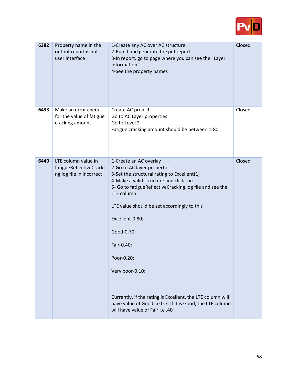

| 6382 | Property name in the<br>output report is not<br>user interface             | 1-Create any AC over AC structure<br>2-Run it and generate the pdf report<br>3-In report, go to page where you can see the "Layer<br>Information"<br>4-See the property names                                                                                                                                                                                                                                                                                                                                        | Closed |
|------|----------------------------------------------------------------------------|----------------------------------------------------------------------------------------------------------------------------------------------------------------------------------------------------------------------------------------------------------------------------------------------------------------------------------------------------------------------------------------------------------------------------------------------------------------------------------------------------------------------|--------|
| 6433 | Make an error check<br>for the value of fatigue<br>cracking amount         | Create AC project<br>Go to AC Layer properties<br>Go to Level 2<br>Fatigue cracking amount should be between 1-80                                                                                                                                                                                                                                                                                                                                                                                                    | Closed |
| 6440 | LTE column value in<br>fatigueReflectiveCracki<br>ng.log file in incorrect | 1-Create an AC overlay<br>2-Go to AC layer properties<br>3-Set the structural rating to Excellent(1)<br>4-Make a valid structure and click run<br>5- Go to fatigueReflectiveCracking.log file and see the<br>LTE column<br>LTE value should be set accordingly to this<br>Excellent-0.80;<br>Good-0.70;<br>Fair-0.40;<br>Poor-0.20;<br>Very poor-0.10;<br>Currently, if the rating is Excellent, the LTE column will<br>have value of Good i.e 0.7. If it is Good, the LTE column<br>will have value of Fair i.e .40 | Closed |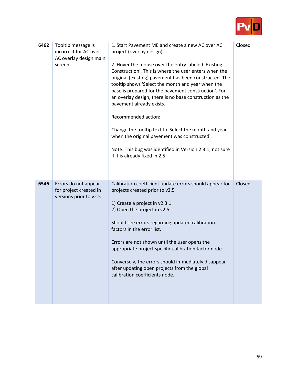

| 6462 | Tooltip message is<br>incorrect for AC over<br>AC overlay design main<br>screen | 1. Start Pavement ME and create a new AC over AC<br>project (overlay design).<br>2. Hover the mouse over the entry labeled 'Existing<br>Construction'. This is where the user enters when the<br>original (existing) pavement has been constructed. The<br>tooltip shows 'Select the month and year when the<br>base is prepared for the pavement construction'. For<br>an overlay design, there is no base construction as the<br>pavement already exists.<br>Recommended action:<br>Change the tooltip text to 'Select the month and year<br>when the original pavement was constructed'.<br>Note: This bug was identified in Version 2.3.1, not sure<br>if it is already fixed in 2.5 | Closed |
|------|---------------------------------------------------------------------------------|------------------------------------------------------------------------------------------------------------------------------------------------------------------------------------------------------------------------------------------------------------------------------------------------------------------------------------------------------------------------------------------------------------------------------------------------------------------------------------------------------------------------------------------------------------------------------------------------------------------------------------------------------------------------------------------|--------|
| 6546 | Errors do not appear<br>for project created in<br>versions prior to v2.5        | Calibration coefficient update errors should appear for<br>projects created prior to v2.5<br>1) Create a project in v2.3.1<br>2) Open the project in v2.5<br>Should see errors regarding updated calibration<br>factors in the error list.<br>Errors are not shown until the user opens the<br>appropriate project specific calibration factor node.<br>Conversely, the errors should immediately disappear<br>after updating open projects from the global<br>calibration coefficients node.                                                                                                                                                                                            | Closed |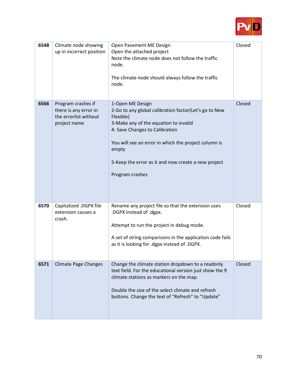

| 6548 | Climate node showing<br>up in incorrect position                                     | Open Pavement ME Design<br>Open the attached project<br>Note the climate node does not follow the traffic<br>node.<br>The climate node should always follow the traffic<br>node.                                                                                                                             | Closed |
|------|--------------------------------------------------------------------------------------|--------------------------------------------------------------------------------------------------------------------------------------------------------------------------------------------------------------------------------------------------------------------------------------------------------------|--------|
| 6566 | Program crashes if<br>there is any error in<br>the errorlist without<br>project name | 1-Open ME Design<br>2-Go to any global calibration factor(Let's go to New<br>Flexible)<br>3-Make any of the equation to invalid<br>4- Save Changes to Calibration<br>You will see an error in which the project column is<br>empty<br>5-Keep the error as it and now create a new project<br>Program crashes | Closed |
| 6570 | Capitalized .DGPX file<br>extension causes a<br>crash.                               | Rename any project file so that the extension uses<br>.DGPX instead of .dgpx.<br>Attempt to run the project in debug mode.<br>A set of string comparisons in the application code fails<br>as it is looking for .dgpx instead of .DGPX.                                                                      | Closed |
| 6571 | <b>Climate Page Changes</b>                                                          | Change the climate station dropdown to a readonly<br>text field. For the educational version just show the 9<br>climate stations as markers on the map.<br>Double the size of the select climate and refresh<br>buttons. Change the text of "Refresh" to "Update"                                            | Closed |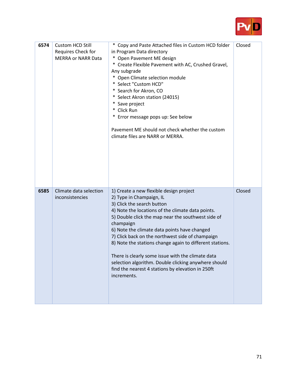

| 6574 | Custom HCD Still<br>Requires Check for<br><b>MERRA or NARR Data</b> | * Copy and Paste Attached files in Custom HCD folder<br>in Program Data directory<br>* Open Pavement ME design<br>* Create Flexible Pavement with AC, Crushed Gravel,<br>Any subgrade<br>* Open Climate selection module<br>* Select "Custom HCD"<br>* Search for Akron, CO<br>* Select Akron station (24015)<br>* Save project<br>* Click Run<br>* Error message pops up: See below<br>Pavement ME should not check whether the custom<br>climate files are NARR or MERRA.                                                                                                | Closed |
|------|---------------------------------------------------------------------|----------------------------------------------------------------------------------------------------------------------------------------------------------------------------------------------------------------------------------------------------------------------------------------------------------------------------------------------------------------------------------------------------------------------------------------------------------------------------------------------------------------------------------------------------------------------------|--------|
| 6585 | Climate data selection<br>inconsistencies                           | 1) Create a new flexible design project<br>2) Type in Champaign, IL<br>3) Click the search button<br>4) Note the locations of the climate data points.<br>5) Double click the map near the southwest side of<br>champaign<br>6) Note the climate data points have changed<br>7) Click back on the northwest side of champaign<br>8) Note the stations change again to different stations.<br>There is clearly some issue with the climate data<br>selection algorithm. Double clicking anywhere should<br>find the nearest 4 stations by elevation in 250ft<br>increments. | Closed |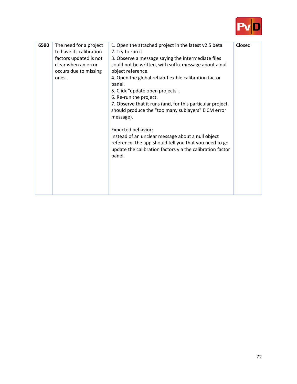

| 6590 | The need for a project<br>to have its calibration<br>factors updated is not | 1. Open the attached project in the latest v2.5 beta.<br>2. Try to run it.<br>3. Observe a message saying the intermediate files                                                                                | Closed |
|------|-----------------------------------------------------------------------------|-----------------------------------------------------------------------------------------------------------------------------------------------------------------------------------------------------------------|--------|
|      | clear when an error<br>occurs due to missing<br>ones.                       | could not be written, with suffix message about a null<br>object reference.<br>4. Open the global rehab-flexible calibration factor                                                                             |        |
|      |                                                                             | panel.<br>5. Click "update open projects".<br>6. Re-run the project.<br>7. Observe that it runs (and, for this particular project,<br>should produce the "too many sublayers" EICM error<br>message).           |        |
|      |                                                                             | <b>Expected behavior:</b><br>Instead of an unclear message about a null object<br>reference, the app should tell you that you need to go<br>update the calibration factors via the calibration factor<br>panel. |        |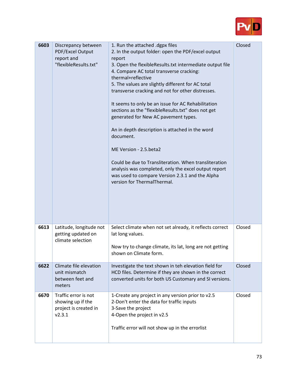

| 6603 | Discrepancy between<br>PDF/Excel Output<br>report and<br>"flexibleResults.txt" | 1. Run the attached .dgpx files<br>2. In the output folder: open the PDF/excel output<br>report<br>3. Open the flexibleResults.txt intermediate output file<br>4. Compare AC total transverse cracking:<br>thermal+reflective<br>5. The values are slightly different for AC total<br>transverse cracking and not for other distresses.<br>It seems to only be an issue for AC Rehabilitation<br>sections as the "flexibleResults.txt" does not get<br>generated for New AC pavement types.<br>An in depth description is attached in the word<br>document.<br>ME Version - 2.5.beta2<br>Could be due to Transliteration. When transliteration<br>analysis was completed, only the excel output report<br>was used to compare Version 2.3.1 and the Alpha<br>version for ThermalThermal. | Closed |
|------|--------------------------------------------------------------------------------|------------------------------------------------------------------------------------------------------------------------------------------------------------------------------------------------------------------------------------------------------------------------------------------------------------------------------------------------------------------------------------------------------------------------------------------------------------------------------------------------------------------------------------------------------------------------------------------------------------------------------------------------------------------------------------------------------------------------------------------------------------------------------------------|--------|
| 6613 | Latitude, longitude not<br>getting updated on<br>climate selection             | Select climate when not set already, it reflects correct<br>lat long values.<br>Now try to change climate, its lat, long are not getting<br>shown on Climate form.                                                                                                                                                                                                                                                                                                                                                                                                                                                                                                                                                                                                                       | Closed |
| 6622 | Climate file elevation<br>unit mismatch<br>between feet and<br>meters          | Investigate the text shown in teh elevation field for<br>HCD files. Determine if they are shown in the correct<br>converted units for both US Customary and SI versions.                                                                                                                                                                                                                                                                                                                                                                                                                                                                                                                                                                                                                 | Closed |
| 6670 | Traffic error is not<br>showing up if the<br>project is created in<br>v2.3.1   | 1-Create any project in any version prior to v2.5<br>2-Don't enter the data for traffic inputs<br>3-Save the project<br>4-Open the project in v2.5<br>Traffic error will not show up in the errorlist                                                                                                                                                                                                                                                                                                                                                                                                                                                                                                                                                                                    | Closed |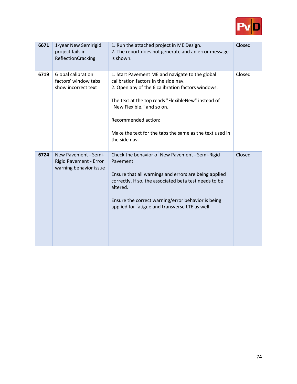

| 6671 | 1-year New Semirigid<br>project fails in<br>ReflectionCracking           | 1. Run the attached project in ME Design.<br>2. The report does not generate and an error message<br>is shown.                                                                                                                                                                                                                      | Closed |
|------|--------------------------------------------------------------------------|-------------------------------------------------------------------------------------------------------------------------------------------------------------------------------------------------------------------------------------------------------------------------------------------------------------------------------------|--------|
| 6719 | <b>Global calibration</b><br>factors' window tabs<br>show incorrect text | 1. Start Pavement ME and navigate to the global<br>calibration factors in the side nav.<br>2. Open any of the 6 calibration factors windows.<br>The text at the top reads "FlexibleNew" instead of<br>"New Flexible," and so on.<br>Recommended action:<br>Make the text for the tabs the same as the text used in<br>the side nav. | Closed |
| 6724 | New Pavement - Semi-<br>Rigid Pavement - Error<br>warning behavior issue | Check the behavior of New Pavement - Semi-Rigid<br>Pavement<br>Ensure that all warnings and errors are being applied<br>correctly. If so, the associated beta test needs to be<br>altered.<br>Ensure the correct warning/error behavior is being<br>applied for fatigue and transverse LTE as well.                                 | Closed |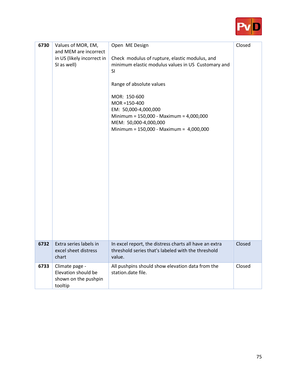

| 6730 | Values of MOR, EM,<br>and MEM are incorrect<br>in US (likely incorrect in<br>SI as well) | Open ME Design<br>Check modulus of rupture, elastic modulus, and<br>minimum elastic modulus values in US Customary and<br>SI<br>Range of absolute values<br>MOR: 150-600<br>$MOR = 150-400$<br>EM: 50,000-4,000,000<br>Minimum = $150,000 - \text{Maximum} = 4,000,000$<br>MEM: 50,000-4,000,000<br>Minimum = $150,000 - \text{Maximum} = 4,000,000$ | Closed |
|------|------------------------------------------------------------------------------------------|------------------------------------------------------------------------------------------------------------------------------------------------------------------------------------------------------------------------------------------------------------------------------------------------------------------------------------------------------|--------|
| 6732 | Extra series labels in<br>excel sheet distress<br>chart                                  | In excel report, the distress charts all have an extra<br>threshold series that's labeled with the threshold<br>value.                                                                                                                                                                                                                               | Closed |
| 6733 | Climate page -<br>Elevation should be<br>shown on the pushpin<br>tooltip                 | All pushpins should show elevation data from the<br>station.date file.                                                                                                                                                                                                                                                                               | Closed |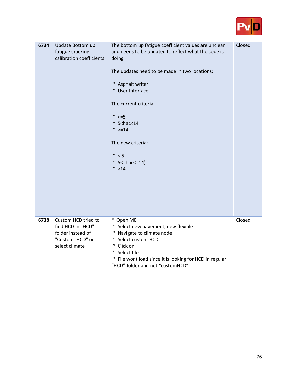

| 6734 | Update Bottom up<br>fatigue cracking<br>calibration coefficients                                   | The bottom up fatigue coefficient values are unclear<br>and needs to be updated to reflect what the code is<br>doing.<br>The updates need to be made in two locations:<br>* Asphalt writer<br>* User Interface<br>The current criteria:<br>$* \leq -5$<br>$*$ 5 < hac < 14<br>* $> = 14$<br>The new criteria:<br>$* < 5$<br>$*$ 5 < = hac < = 14)<br>$* > 14$ | Closed |
|------|----------------------------------------------------------------------------------------------------|---------------------------------------------------------------------------------------------------------------------------------------------------------------------------------------------------------------------------------------------------------------------------------------------------------------------------------------------------------------|--------|
| 6738 | Custom HCD tried to<br>find HCD in "HCD"<br>folder instead of<br>"Custom_HCD" on<br>select climate | * Open ME<br>* Select new pavement, new flexible<br>* Navigate to climate node<br>* Select custom HCD<br>* Click on<br>* Select file<br>File wont load since it is looking for HCD in regular<br>"HCD" folder and not "customHCD"                                                                                                                             | Closed |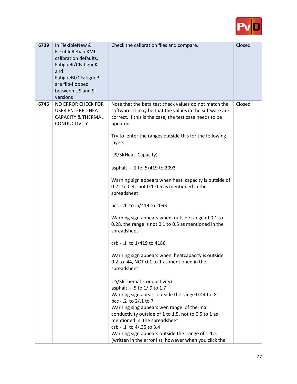

| 6739 | In FlexibleNew &<br>FlexibleRehab XML<br>calibration defaults,<br>FatigueK/CFatigueK<br>and<br>FatigueBf/CFatigueBf<br>are flip-flopped<br>between US and SI<br>versions | Check the calibration files and compare.                                                                                                                                                                                                                                                                                                                                                                                                                                                                                                                                                                                                                                                                                                                                                                                                                                                                                                                                                                                                                                                                                                                                           | Closed |
|------|--------------------------------------------------------------------------------------------------------------------------------------------------------------------------|------------------------------------------------------------------------------------------------------------------------------------------------------------------------------------------------------------------------------------------------------------------------------------------------------------------------------------------------------------------------------------------------------------------------------------------------------------------------------------------------------------------------------------------------------------------------------------------------------------------------------------------------------------------------------------------------------------------------------------------------------------------------------------------------------------------------------------------------------------------------------------------------------------------------------------------------------------------------------------------------------------------------------------------------------------------------------------------------------------------------------------------------------------------------------------|--------|
| 6745 | NO ERROR CHECK FOR<br><b>USER ENTERED HEAT</b><br><b>CAPACITY &amp; THERMAL</b><br><b>CONDUCTIVITY</b>                                                                   | Note that the beta test check values do not match the<br>software. It may be that the values in the software are<br>correct. If this is the case, the test case needs to be<br>updated.<br>Try to enter the ranges outside this for the following<br>layers<br>US/SI(Heat Capacity)<br>asphalt - .1 to .5/419 to 2093<br>Warning sign appears when heat capacity is outside of<br>0.22 to 0.4, not 0.1-0.5 as mentioned in the<br>spreadsheet<br>pcc - .1 to .5/419 to 2093<br>Warning sign appears when outside range of 0.1 to<br>0.28, the range is not 0.1 to 0.5 as mentioned in the<br>spreadsheet<br>csb - .1 to 1/419 to 4186<br>Warning sign appears when heatcapacity is outside<br>0.2 to .44, NOT 0.1 to 1 as mentioned in the<br>spreadsheet<br>US/SI(Themal Conductivity)<br>asphalt - .5 to 1/.9 to 1.7<br>Warning sign apears outside the range 0.44 to .81<br>pcc - .2 to 2/.1 to 7<br>Warning sing appears wen range of thermal<br>conductivity outside of 1 to 1.5, not to 0.5 to 1 as<br>mentioned in the spreadsheet<br>csb - .1 to 4/.35 to 3.4<br>Warning sign appears outside the range of 1-1.5<br>(written in the error list, however when you click the | Closed |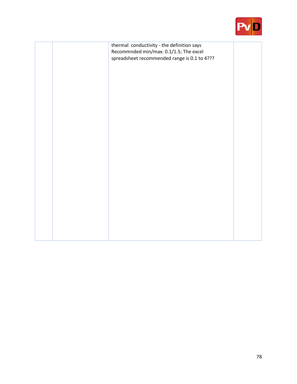

|  | thermal conductivity - the definition says   |  |
|--|----------------------------------------------|--|
|  | Recommnded min/max: 0.1/1.5; The excel       |  |
|  |                                              |  |
|  | spreadsheet recommended range is 0.1 to 4??? |  |
|  |                                              |  |
|  |                                              |  |
|  |                                              |  |
|  |                                              |  |
|  |                                              |  |
|  |                                              |  |
|  |                                              |  |
|  |                                              |  |
|  |                                              |  |
|  |                                              |  |
|  |                                              |  |
|  |                                              |  |
|  |                                              |  |
|  |                                              |  |
|  |                                              |  |
|  |                                              |  |
|  |                                              |  |
|  |                                              |  |
|  |                                              |  |
|  |                                              |  |
|  |                                              |  |
|  |                                              |  |
|  |                                              |  |
|  |                                              |  |
|  |                                              |  |
|  |                                              |  |
|  |                                              |  |
|  |                                              |  |
|  |                                              |  |
|  |                                              |  |
|  |                                              |  |
|  |                                              |  |
|  |                                              |  |
|  |                                              |  |
|  |                                              |  |
|  |                                              |  |
|  |                                              |  |
|  |                                              |  |
|  |                                              |  |
|  |                                              |  |
|  |                                              |  |
|  |                                              |  |
|  |                                              |  |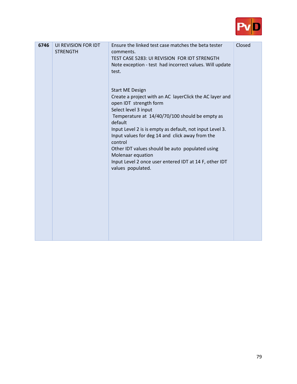

| 6746 | UI REVISION FOR IDT<br><b>STRENGTH</b> | Ensure the linked test case matches the beta tester<br>comments.<br>TEST CASE 5283: UI REVISION FOR IDT STRENGTH<br>Note exception - test had incorrect values. Will update<br>test.                                                                                                                                                                                                                                                                                              | Closed |
|------|----------------------------------------|-----------------------------------------------------------------------------------------------------------------------------------------------------------------------------------------------------------------------------------------------------------------------------------------------------------------------------------------------------------------------------------------------------------------------------------------------------------------------------------|--------|
|      |                                        | <b>Start ME Design</b><br>Create a project with an AC layerClick the AC layer and<br>open IDT strength form<br>Select level 3 input<br>Temperature at 14/40/70/100 should be empty as<br>default<br>Input Level 2 is is empty as default, not input Level 3.<br>Input values for deg 14 and click away from the<br>control<br>Other IDT values should be auto populated using<br>Molenaar equation<br>Input Level 2 once user entered IDT at 14 F, other IDT<br>values populated. |        |
|      |                                        |                                                                                                                                                                                                                                                                                                                                                                                                                                                                                   |        |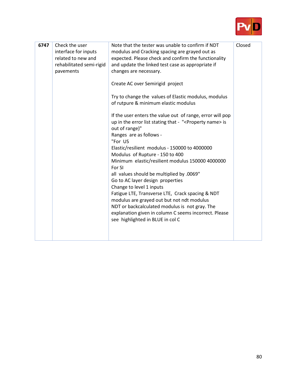

| 6747 | Check the user<br>interface for inputs<br>related to new and<br>rehabilitated semi-rigid<br>pavements | Note that the tester was unable to confirm if NDT<br>modulus and Cracking spacing are grayed out as<br>expected. Please check and confirm the functionality<br>and update the linked test case as appropriate if<br>changes are necessary.<br>Create AC over Semirigid project<br>Try to change the values of Elastic modulus, modulus<br>of rutpure & minimum elastic modulus<br>If the user enters the value out of range, error will pop<br>up in the error list stating that - " <property name=""> is<br/>out of range)"<br/>Ranges are as follows -<br/>"For US<br/>Elastic/resilient modulus - 150000 to 4000000<br/>Modulus of Rupture - 150 to 400<br/>Minimum elastic/resilient modulus 150000 4000000<br/>For SI<br/>all values should be multiplied by .0069"<br/>Go to AC layer design properties<br/>Change to level 1 inputs<br/>Fatigue LTE, Transverse LTE, Crack spacing &amp; NDT<br/>modulus are grayed out but not ndt modulus<br/>NDT or backcalculated modulus is not gray. The<br/>explanation given in column C seems incorrect. Please<br/>see highlighted in BLUE in col C</property> | Closed |
|------|-------------------------------------------------------------------------------------------------------|------------------------------------------------------------------------------------------------------------------------------------------------------------------------------------------------------------------------------------------------------------------------------------------------------------------------------------------------------------------------------------------------------------------------------------------------------------------------------------------------------------------------------------------------------------------------------------------------------------------------------------------------------------------------------------------------------------------------------------------------------------------------------------------------------------------------------------------------------------------------------------------------------------------------------------------------------------------------------------------------------------------------------------------------------------------------------------------------------------------|--------|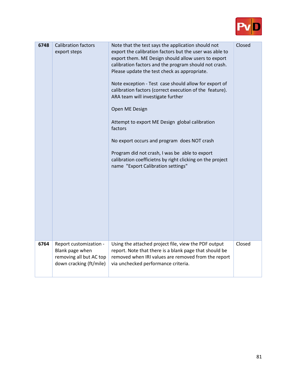

| 6748 | <b>Calibration factors</b><br>export steps                                                      | Note that the test says the application should not<br>export the calibration factors but the user was able to<br>export them. ME Design should allow users to export<br>calibration factors and the program should not crash.<br>Please update the test check as appropriate.<br>Note exception - Test case should allow for export of<br>calibration factors (correct execution of the feature).<br>ARA team will investigate further<br>Open ME Design<br>Attempt to export ME Design global calibration<br>factors<br>No export occurs and program does NOT crash<br>Program did not crash, I was be able to export<br>calibration coefficietns by right clicking on the project<br>name "Export Calibration settings" | Closed |
|------|-------------------------------------------------------------------------------------------------|---------------------------------------------------------------------------------------------------------------------------------------------------------------------------------------------------------------------------------------------------------------------------------------------------------------------------------------------------------------------------------------------------------------------------------------------------------------------------------------------------------------------------------------------------------------------------------------------------------------------------------------------------------------------------------------------------------------------------|--------|
| 6764 | Report customization -<br>Blank page when<br>removing all but AC top<br>down cracking (ft/mile) | Using the attached project file, view the PDF output<br>report. Note that there is a blank page that should be<br>removed when IRI values are removed from the report<br>via unchecked performance criteria.                                                                                                                                                                                                                                                                                                                                                                                                                                                                                                              | Closed |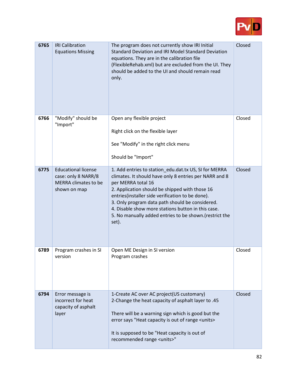

| 6765 | <b>IRI Calibration</b><br><b>Equations Missing</b>                                        | The program does not currently show IRI Initial<br>Standard Deviation and IRI Model Standard Deviation<br>equations. They are in the calibration file<br>(FlexibleRehab.xml) but are excluded from the UI. They<br>should be added to the UI and should remain read<br>only.                                                                                                                                            | Closed |
|------|-------------------------------------------------------------------------------------------|-------------------------------------------------------------------------------------------------------------------------------------------------------------------------------------------------------------------------------------------------------------------------------------------------------------------------------------------------------------------------------------------------------------------------|--------|
| 6766 | "Modify" should be<br>"Import"                                                            | Open any flexible project<br>Right click on the flexible layer<br>See "Modify" in the right click menu<br>Should be "Import"                                                                                                                                                                                                                                                                                            | Closed |
| 6775 | <b>Educational license</b><br>case: only 8 NARR/8<br>MERRA climates to be<br>shown on map | 1. Add entries to station edu.dat.tx US, SI for MERRA<br>climates. It should have only 8 entries per NARR and 8<br>per MERRA total 16<br>2. Application should be shipped with those 16<br>entries(installer side verification to be done).<br>3. Only program data path should be considered.<br>4. Disable show more stations button in this case.<br>5. No manually added entries to be shown.(restrict the<br>set). | Closed |
| 6789 | Program crashes in SI<br>version                                                          | Open ME Design in SI version<br>Program crashes                                                                                                                                                                                                                                                                                                                                                                         | Closed |
| 6794 | Error message is<br>incorrect for heat<br>capacity of asphalt<br>layer                    | 1-Create AC over AC project(US customary)<br>2-Change the heat capacity of asphalt layer to .45<br>There will be a warning sign which is good but the<br>error says "Heat capacity is out of range <units><br/>It is supposed to be "Heat capacity is out of<br/>recommended range <units>"</units></units>                                                                                                             | Closed |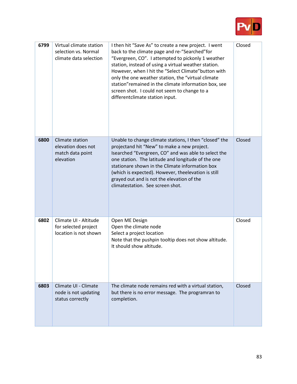

| 6799 | Virtual climate station<br>selection vs. Normal<br>climate data selection | I then hit "Save As" to create a new project. I went<br>back to the climate page and re-"Searched"for<br>"Evergreen, CO". I attempted to pickonly 1 weather<br>station, instead of using a virtual weather station.<br>However, when I hit the "Select Climate" button with<br>only the one weather station, the "virtual climate<br>station" remained in the climate information box, see<br>screen shot. I could not seem to change to a<br>differentclimate station input. | Closed |
|------|---------------------------------------------------------------------------|-------------------------------------------------------------------------------------------------------------------------------------------------------------------------------------------------------------------------------------------------------------------------------------------------------------------------------------------------------------------------------------------------------------------------------------------------------------------------------|--------|
| 6800 | Climate station<br>elevation does not<br>match data point<br>elevation    | Unable to change climate stations, I then "closed" the<br>projectand hit "New" to make a new project.<br>Isearched "Evergreen, CO" and was able to select the<br>one station. The latitude and longitude of the one<br>stationare shown in the Climate information box<br>(which is expected). However, theelevation is still<br>grayed out and is not the elevation of the<br>climatestation. See screen shot.                                                               | Closed |
| 6802 | Climate UI - Altitude<br>for selected project<br>location is not shown    | Open ME Design<br>Open the climate node<br>Select a project location<br>Note that the pushpin tooltip does not show altitude.<br>It should show altitude.                                                                                                                                                                                                                                                                                                                     | Closed |
| 6803 | Climate UI - Climate<br>node is not updating<br>status correctly          | The climate node remains red with a virtual station,<br>but there is no error message. The programran to<br>completion.                                                                                                                                                                                                                                                                                                                                                       | Closed |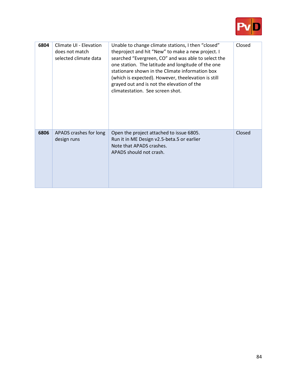

| 6804 | Climate UI - Elevation<br>does not match<br>selected climate data | Unable to change climate stations, I then "closed"<br>theproject and hit "New" to make a new project. I<br>searched "Evergreen, CO" and was able to select the<br>one station. The latitude and longitude of the one<br>stationare shown in the Climate information box<br>(which is expected). However, theelevation is still<br>grayed out and is not the elevation of the<br>climatestation. See screen shot. | Closed |
|------|-------------------------------------------------------------------|------------------------------------------------------------------------------------------------------------------------------------------------------------------------------------------------------------------------------------------------------------------------------------------------------------------------------------------------------------------------------------------------------------------|--------|
| 6806 | APADS crashes for long<br>design runs                             | Open the project attached to issue 6805.<br>Run it in ME Design v2.5-beta.5 or earlier<br>Note that APADS crashes.<br>APADS should not crash.                                                                                                                                                                                                                                                                    | Closed |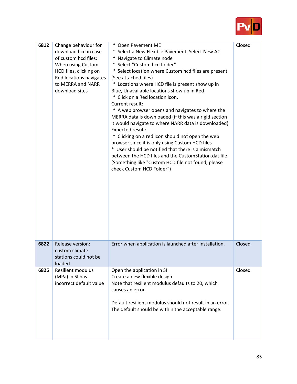

| 6812 | Change behaviour for<br>download hcd in case<br>of custom hcd files:<br>When using Custom<br>HCD files, clicking on<br>Red locations navigates<br>to MERRA and NARR<br>download sites | * Open Pavement ME<br>* Select a New Flexible Pavement, Select New AC<br>* Navigate to Climate node<br>* Select "Custom hcd folder"<br>* Select location where Custom hcd files are present<br>(See attached files)<br>* Locations where HCD file is present show up in<br>Blue, Unavailable locations show up in Red<br>* Click on a Red location icon.<br>Current result:<br>* A web browser opens and navigates to where the<br>MERRA data is downloaded (if this was a rigid section<br>it would navigate to where NARR data is downloaded)<br>Expected result:<br>* Clicking on a red icon should not open the web<br>browser since it is only using Custom HCD files<br>* User should be notified that there is a mismatch<br>between the HCD files and the CustomStation.dat file.<br>(Something like "Custom HCD file not found, please<br>check Custom HCD Folder") | Closed |
|------|---------------------------------------------------------------------------------------------------------------------------------------------------------------------------------------|------------------------------------------------------------------------------------------------------------------------------------------------------------------------------------------------------------------------------------------------------------------------------------------------------------------------------------------------------------------------------------------------------------------------------------------------------------------------------------------------------------------------------------------------------------------------------------------------------------------------------------------------------------------------------------------------------------------------------------------------------------------------------------------------------------------------------------------------------------------------------|--------|
| 6822 | Release version:<br>custom climate<br>stations could not be<br>loaded                                                                                                                 | Error when application is launched after installation.                                                                                                                                                                                                                                                                                                                                                                                                                                                                                                                                                                                                                                                                                                                                                                                                                       | Closed |
| 6825 | <b>Resilient modulus</b><br>(MPa) in SI has<br>incorrect default value                                                                                                                | Open the application in SI<br>Create a new flexible design<br>Note that resilient modulus defaults to 20, which<br>causes an error.<br>Default resilient modulus should not result in an error.<br>The default should be within the acceptable range.                                                                                                                                                                                                                                                                                                                                                                                                                                                                                                                                                                                                                        | Closed |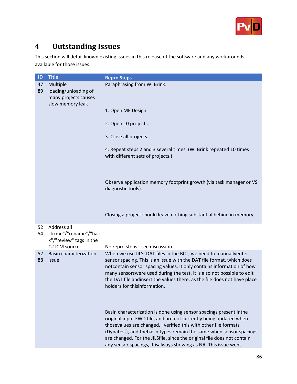

## **4 Outstanding Issues**

This section will detail known existing issues in this release of the software and any workarounds available for those issues.

| ID       | <b>Title</b>                                                    | <b>Repro Steps</b>                                                                                                                                                                                                                                                                                                                                                                                                               |
|----------|-----------------------------------------------------------------|----------------------------------------------------------------------------------------------------------------------------------------------------------------------------------------------------------------------------------------------------------------------------------------------------------------------------------------------------------------------------------------------------------------------------------|
| 47<br>89 | Multiple<br>loading/unloading of<br>many projects causes        | Paraphrasing from W. Brink:                                                                                                                                                                                                                                                                                                                                                                                                      |
|          | slow memory leak                                                | 1. Open ME Design.                                                                                                                                                                                                                                                                                                                                                                                                               |
|          |                                                                 | 2. Open 10 projects.                                                                                                                                                                                                                                                                                                                                                                                                             |
|          |                                                                 | 3. Close all projects.                                                                                                                                                                                                                                                                                                                                                                                                           |
|          |                                                                 | 4. Repeat steps 2 and 3 several times. (W. Brink repeated 10 times<br>with different sets of projects.)                                                                                                                                                                                                                                                                                                                          |
|          |                                                                 | Observe application memory footprint growth (via task manager or VS<br>diagnostic tools).                                                                                                                                                                                                                                                                                                                                        |
|          |                                                                 | Closing a project should leave nothing substantial behind in memory.                                                                                                                                                                                                                                                                                                                                                             |
| 52<br>54 | Address all<br>"fixme"/"rename"/"hac<br>k"/"review" tags in the |                                                                                                                                                                                                                                                                                                                                                                                                                                  |
|          | C# ICM source                                                   | No repro steps - see discussion                                                                                                                                                                                                                                                                                                                                                                                                  |
| 52<br>88 | <b>Basin characterization</b><br>issue                          | When we use JILS .DAT files in the BCT, we need to manuallyenter<br>sensor spacing. This is an issue with the DAT file format, which does<br>notcontain sensor spacing values. It only contains information of how<br>many sensorswere used during the test. It is also not possible to edit<br>the DAT file andinsert the values there, as the file does not have place<br>holders for thisinformation.                         |
|          |                                                                 | Basin characterization is done using sensor spacings present inthe<br>original input FWD file, and are not currently being updated when<br>thosevalues are changed. I verified this with other file formats<br>(Dynatest), and thebasin types remain the same when sensor spacings<br>are changed. For the JILSfile, since the original file does not contain<br>any sensor spacings, it isalways showing as NA. This issue went |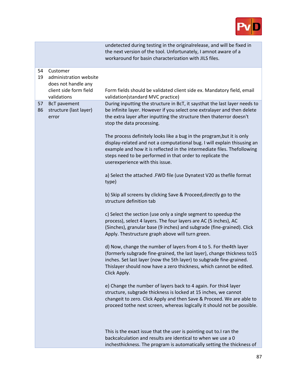

|                   |                                                                                                    | undetected during testing in the originalrelease, and will be fixed in<br>the next version of the tool. Unfortunately, I amnot aware of a<br>workaround for basin characterization with JILS files.                                                                                                                           |
|-------------------|----------------------------------------------------------------------------------------------------|-------------------------------------------------------------------------------------------------------------------------------------------------------------------------------------------------------------------------------------------------------------------------------------------------------------------------------|
|                   |                                                                                                    |                                                                                                                                                                                                                                                                                                                               |
| 54<br>19          | Customer<br>administration website<br>does not handle any<br>client side form field<br>validations | Form fields should be validated client side ex. Mandatory field, email<br>validation(standard MVC practice)                                                                                                                                                                                                                   |
| 57<br>86<br>error | <b>BcT</b> pavement<br>structure (last layer)                                                      | During inputting the structure in BcT, it saysthat the last layer needs to<br>be infinite layer. However if you select one extralayer and then delete<br>the extra layer after inputting the structure then thaterror doesn't<br>stop the data processing.                                                                    |
|                   |                                                                                                    | The process definitely looks like a bug in the program, but it is only<br>display-related and not a computational bug. I will explain thisusing an<br>example and how it is reflected in the intermediate files. Thefollowing<br>steps need to be performed in that order to replicate the<br>userexperience with this issue. |
|                   |                                                                                                    | a) Select the attached .FWD file (use Dynatest V20 as thefile format<br>type)                                                                                                                                                                                                                                                 |
|                   |                                                                                                    | b) Skip all screens by clicking Save & Proceed, directly go to the<br>structure definition tab                                                                                                                                                                                                                                |
|                   |                                                                                                    | c) Select the section (use only a single segment to speedup the<br>process), select 4 layers. The four layers are AC (5 inches), AC<br>(5inches), granular base (9 inches) and subgrade (fine-grained). Click<br>Apply. Thestructure graph above will turn green.                                                             |
|                   |                                                                                                    | d) Now, change the number of layers from 4 to 5. For the 4th layer<br>(formerly subgrade fine-grained, the last layer), change thickness to 15<br>inches. Set last layer (now the 5th layer) to subgrade fine-grained.<br>Thislayer should now have a zero thickness, which cannot be edited.<br>Click Apply.                 |
|                   |                                                                                                    | e) Change the number of layers back to 4 again. For this4 layer<br>structure, subgrade thickness is locked at 15 inches, we cannot<br>changeit to zero. Click Apply and then Save & Proceed. We are able to<br>proceed tothe next screen, whereas logically it should not be possible.                                        |
|                   |                                                                                                    | This is the exact issue that the user is pointing out to.I ran the<br>backcalculation and results are identical to when we use a 0<br>inchesthickness. The program is automatically setting the thickness of                                                                                                                  |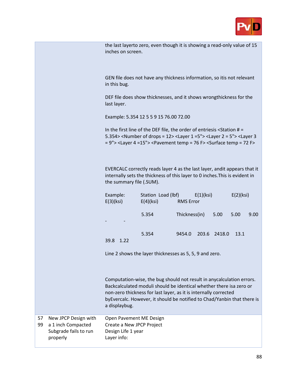

| the last layerto zero, even though it is showing a read-only value of 15 |
|--------------------------------------------------------------------------|
| inches on screen.                                                        |

GEN file does not have any thickness information, so itis not relevant in this bug.

DEF file does show thicknesses, and it shows wrongthickness for the last layer.

Example: 5.354 12 5 5 9 15 76.00 72.00

In the first line of the DEF file, the order of entriesis <Station # = 5.354> <Number of drops = 12> <Layer 1 =5"> <Layer 2 = 5"> <Layer 3 = 9"> <Layer 4 =15"> <Pavement temp = 76 F> <Surface temp = 72 F>

EVERCALC correctly reads layer 4 as the last layer, andit appears that it internally sets the thickness of this layer to 0 inches.This is evident in the summary file (.SUM).

| Example:<br>E(3)(ksi)         | Station Load (lbf)<br>$E(4)$ (ksi) | <b>RMS</b> Error | E(1)(ksi) |              | E(2)(ksi) |      |
|-------------------------------|------------------------------------|------------------|-----------|--------------|-----------|------|
| -<br>$\overline{\phantom{0}}$ | 5.354                              | Thickness(in)    |           | 5.00         | 5.00      | 9.00 |
| 39.8<br>1.22                  | 5.354                              | 9454.0           |           | 203.6 2418.0 | 13.1      |      |

Line 2 shows the layer thicknesses as 5, 5, 9 and zero.

Computation-wise, the bug should not result in anycalculation errors. Backcalculated moduli should be identical whether there isa zero or non-zero thickness for last layer, as it is internally corrected byEvercalc. However, it should be notified to Chad/Yanbin that there is a displaybug.

| 57 | New JPCP Design with  | Open Pavement ME Design   |
|----|-----------------------|---------------------------|
| 99 | a 1 inch Compacted    | Create a New JPCP Project |
|    | Subgrade fails to run | Design Life 1 year        |
|    | properly              | Layer info:               |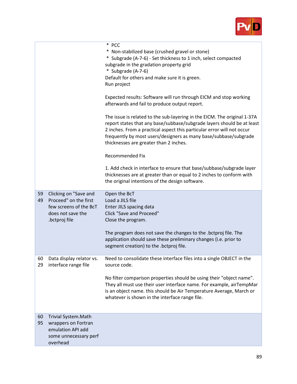

|          |                                                                                                                | * PCC<br>* Non-stabilized base (crushed gravel or stone)<br>* Subgrade (A-7-6) - Set thickness to 1 inch, select compacted<br>subgrade in the gradation property grid<br>* Subgrade (A-7-6)<br>Default for others and make sure it is green.<br>Run project<br>Expected results: Software will run through EICM and stop working<br>afterwards and fail to produce output report.<br>The issue is related to the sub-layering in the EICM. The original 1-37A<br>report states that any base/subbase/subgrade layers should be at least<br>2 inches. From a practical aspect this particular error will not occur<br>frequently by most users/designers as many base/subbase/subgrade<br>thicknesses are greater than 2 inches.<br><b>Recommended Fix</b><br>1. Add check in interface to ensure that base/subbase/subgrade layer<br>thicknesses are at greater than or equal to 2 inches to conform with<br>the original intentions of the design software. |
|----------|----------------------------------------------------------------------------------------------------------------|--------------------------------------------------------------------------------------------------------------------------------------------------------------------------------------------------------------------------------------------------------------------------------------------------------------------------------------------------------------------------------------------------------------------------------------------------------------------------------------------------------------------------------------------------------------------------------------------------------------------------------------------------------------------------------------------------------------------------------------------------------------------------------------------------------------------------------------------------------------------------------------------------------------------------------------------------------------|
| 59<br>49 | Clicking on "Save and<br>Proceed" on the first<br>few screens of the BcT<br>does not save the<br>.bctproj file | Open the BcT<br>Load a JILS file<br>Enter JILS spacing data<br>Click "Save and Proceed"<br>Close the program.<br>The program does not save the changes to the .bctproj file. The<br>application should save these preliminary changes (i.e. prior to<br>segment creation) to the .bctproj file.                                                                                                                                                                                                                                                                                                                                                                                                                                                                                                                                                                                                                                                              |
| 60<br>29 | Data display relator vs.<br>interface range file                                                               | Need to consolidate these interface files into a single OBJECT in the<br>source code.<br>No filter comparison properties should be using their "object name".<br>They all must use their user interface name. For example, airTempMar<br>is an object name. this should be Air Temperature Average, March or<br>whatever is shown in the interface range file.                                                                                                                                                                                                                                                                                                                                                                                                                                                                                                                                                                                               |
| 60<br>95 | Trivial System.Math<br>wrappers on Fortran<br>emulation API add<br>some unnecessary perf<br>overhead           |                                                                                                                                                                                                                                                                                                                                                                                                                                                                                                                                                                                                                                                                                                                                                                                                                                                                                                                                                              |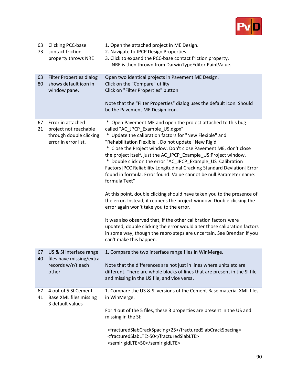

| 63<br>73 | <b>Clicking PCC-base</b><br>contact friction<br>property throws NRE                           | 1. Open the attached project in ME Design.<br>2. Navigate to JPCP Design Properties.<br>3. Click to expand the PCC-base contact friction property.<br>- NRE is then thrown from DarwinTypeEditor.PaintValue.                                                                                                                                                                                                                                                                                                                                                                                                                                                                                                                                                                                                                                                                                                                                                                                                                                          |
|----------|-----------------------------------------------------------------------------------------------|-------------------------------------------------------------------------------------------------------------------------------------------------------------------------------------------------------------------------------------------------------------------------------------------------------------------------------------------------------------------------------------------------------------------------------------------------------------------------------------------------------------------------------------------------------------------------------------------------------------------------------------------------------------------------------------------------------------------------------------------------------------------------------------------------------------------------------------------------------------------------------------------------------------------------------------------------------------------------------------------------------------------------------------------------------|
| 63       | <b>Filter Properties dialog</b>                                                               | Open two identical projects in Pavement ME Design.                                                                                                                                                                                                                                                                                                                                                                                                                                                                                                                                                                                                                                                                                                                                                                                                                                                                                                                                                                                                    |
| 80       | shows default icon in<br>window pane.                                                         | Click on the "Compare" utility<br>Click on "Filter Properties" button                                                                                                                                                                                                                                                                                                                                                                                                                                                                                                                                                                                                                                                                                                                                                                                                                                                                                                                                                                                 |
|          |                                                                                               | Note that the "Filter Properties" dialog uses the default icon. Should<br>be the Pavement ME Design icon.                                                                                                                                                                                                                                                                                                                                                                                                                                                                                                                                                                                                                                                                                                                                                                                                                                                                                                                                             |
| 67<br>21 | Error in attached<br>project not reachable<br>through double clicking<br>error in error list. | * Open Pavement ME and open the project attached to this bug<br>called "AC_JPCP_Example_US.dgpx"<br>* Update the calibration factors for "New Flexible" and<br>"Rehabilitation Flexible". Do not update "New Rigid"<br>* Close the Project window. Don't close Pavement ME, don't close<br>the project itself, just the AC_JPCP_Example_US:Project window.<br>* Double click on the error "AC_JPCP_Example_US Calibration<br>Factors   PCC Reliability Longitudinal Cracking Standard Deviation   Error<br>found in formula. Error found: Value cannot be null. Parameter name:<br>formula Text"<br>At this point, double clicking should have taken you to the presence of<br>the error. Instead, it reopens the project window. Double clicking the<br>error again won't take you to the error.<br>It was also observed that, if the other calibration factors were<br>updated, double clicking the error would alter those calibration factors<br>in some way, though the repro steps are uncertain. See Brendan if you<br>can't make this happen. |
| 67<br>40 | US & SI interface range<br>files have missing/extra<br>records w/r/t each<br>other            | 1. Compare the two interface range files in WinMerge.<br>Note that the differences are not just in lines where units etc are<br>different. There are whole blocks of lines that are present in the SI file<br>and missing in the US file, and vice versa.                                                                                                                                                                                                                                                                                                                                                                                                                                                                                                                                                                                                                                                                                                                                                                                             |
| 67<br>41 | 4 out of 5 SI Cement<br>Base XML files missing<br>3 default values                            | 1. Compare the US & SI versions of the Cement Base material XML files<br>in WinMerge.<br>For 4 out of the 5 files, these 3 properties are present in the US and<br>missing in the SI:                                                                                                                                                                                                                                                                                                                                                                                                                                                                                                                                                                                                                                                                                                                                                                                                                                                                 |
|          |                                                                                               | <fracturedslabcrackspacing>25</fracturedslabcrackspacing><br><fracturedslablte>50</fracturedslablte><br><semirigidlte>50</semirigidlte>                                                                                                                                                                                                                                                                                                                                                                                                                                                                                                                                                                                                                                                                                                                                                                                                                                                                                                               |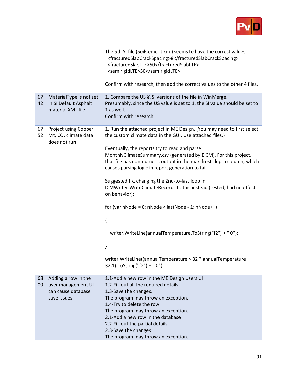

|          |                                                                       | The 5th SI file (SoilCement.xml) seems to have the correct values:<br><fracturedslabcrackspacing>8</fracturedslabcrackspacing><br><fracturedslablte>50</fracturedslablte><br><semirigidlte>50</semirigidlte><br>Confirm with research, then add the correct values to the other 4 files. |
|----------|-----------------------------------------------------------------------|------------------------------------------------------------------------------------------------------------------------------------------------------------------------------------------------------------------------------------------------------------------------------------------|
|          |                                                                       |                                                                                                                                                                                                                                                                                          |
| 67<br>42 | MaterialType is not set<br>in SI Default Asphalt<br>material XML file | 1. Compare the US & SI versions of the file in WinMerge.<br>Presumably, since the US value is set to 1, the SI value should be set to<br>1 as well.<br>Confirm with research.                                                                                                            |
| 67<br>52 | Project using Copper<br>Mt, CO, climate data<br>does not run          | 1. Run the attached project in ME Design. (You may need to first select<br>the custom climate data in the GUI. Use attached files.)<br>Eventually, the reports try to read and parse                                                                                                     |
|          |                                                                       | MonthlyClimateSummary.csv (generated by EICM). For this project,<br>that file has non-numeric output in the max-frost-depth column, which<br>causes parsing logic in report generation to fail.                                                                                          |
|          |                                                                       | Suggested fix, changing the 2nd-to-last loop in<br>ICMWriter. WriteClimateRecords to this instead (tested, had no effect<br>on behavior):                                                                                                                                                |
|          |                                                                       | for (var $nNode = 0$ ; $nNode < lastNode - 1$ ; $nNode++$ )                                                                                                                                                                                                                              |
|          |                                                                       | {                                                                                                                                                                                                                                                                                        |
|          |                                                                       | writer.WriteLine(annualTemperature.ToString("f2") + " 0");                                                                                                                                                                                                                               |
|          |                                                                       | }                                                                                                                                                                                                                                                                                        |
|          |                                                                       | writer. Write Line((annual Temperature > 32 ? annual Temperature :<br>32.1).ToString("f2") + " 0");                                                                                                                                                                                      |
| 68<br>09 | Adding a row in the                                                   | 1.1-Add a new row in the ME Design Users UI                                                                                                                                                                                                                                              |
|          | user management UI<br>can cause database                              | 1.2-Fill out all the required details<br>1.3-Save the changes.                                                                                                                                                                                                                           |
|          | save issues                                                           | The program may throw an exception.                                                                                                                                                                                                                                                      |
|          |                                                                       | 1.4-Try to delete the row<br>The program may throw an exception.                                                                                                                                                                                                                         |
|          |                                                                       | 2.1-Add a new row in the database                                                                                                                                                                                                                                                        |
|          |                                                                       | 2.2-Fill out the partial details                                                                                                                                                                                                                                                         |
|          |                                                                       | 2.3-Save the changes                                                                                                                                                                                                                                                                     |
|          |                                                                       | The program may throw an exception.                                                                                                                                                                                                                                                      |

r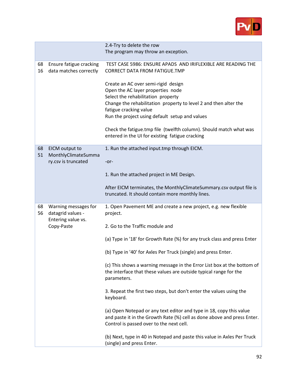

|          |                                                                               | 2.4-Try to delete the row<br>The program may throw an exception.                                                                                                                                                                                                                                                                                                                                                                                                                                                                                                                                                                                                                                                                                                                                                      |
|----------|-------------------------------------------------------------------------------|-----------------------------------------------------------------------------------------------------------------------------------------------------------------------------------------------------------------------------------------------------------------------------------------------------------------------------------------------------------------------------------------------------------------------------------------------------------------------------------------------------------------------------------------------------------------------------------------------------------------------------------------------------------------------------------------------------------------------------------------------------------------------------------------------------------------------|
| 68<br>16 | Ensure fatigue cracking<br>data matches correctly                             | TEST CASE 5986: ENSURE APADS AND IRIFLEXIBLE ARE READING THE<br><b>CORRECT DATA FROM FATIGUE.TMP</b><br>Create an AC over semi-rigid design<br>Open the AC layer properties node<br>Select the rehabilitation property<br>Change the rehabilitation property to level 2 and then alter the<br>fatigue cracking value<br>Run the project using default setup and values<br>Check the fatigue.tmp file (twelfth column). Should match what was<br>entered in the UI for existing fatigue cracking                                                                                                                                                                                                                                                                                                                       |
| 68<br>51 | EICM output to<br>MonthlyClimateSumma<br>ry.csv is truncated                  | 1. Run the attached input.tmp through EICM.<br>$-0r-$<br>1. Run the attached project in ME Design.<br>After EICM terminates, the MonthlyClimateSummary.csv output file is<br>truncated. It should contain more monthly lines.                                                                                                                                                                                                                                                                                                                                                                                                                                                                                                                                                                                         |
| 68<br>56 | Warning messages for<br>datagrid values -<br>Entering value vs.<br>Copy-Paste | 1. Open Pavement ME and create a new project, e.g. new flexible<br>project.<br>2. Go to the Traffic module and<br>(a) Type in '18' for Growth Rate (%) for any truck class and press Enter<br>(b) Type in '40' for Axles Per Truck (single) and press Enter.<br>(c) This shows a warning message in the Error List box at the bottom of<br>the interface that these values are outside typical range for the<br>parameters.<br>3. Repeat the first two steps, but don't enter the values using the<br>keyboard.<br>(a) Open Notepad or any text editor and type in 18, copy this value<br>and paste it in the Growth Rate (%) cell as done above and press Enter.<br>Control is passed over to the next cell.<br>(b) Next, type in 40 in Notepad and paste this value in Axles Per Truck<br>(single) and press Enter. |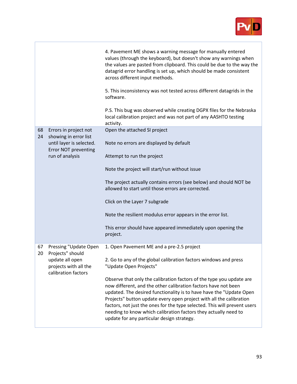

|    |                                                                                     | 4. Pavement ME shows a warning message for manually entered<br>values (through the keyboard), but doesn't show any warnings when<br>the values are pasted from clipboard. This could be due to the way the<br>datagrid error handling is set up, which should be made consistent<br>across different input methods.<br>5. This inconsistency was not tested across different datagrids in the<br>software.<br>P.S. This bug was observed while creating DGPX files for the Nebraska<br>local calibration project and was not part of any AASHTO testing<br>activity. |
|----|-------------------------------------------------------------------------------------|----------------------------------------------------------------------------------------------------------------------------------------------------------------------------------------------------------------------------------------------------------------------------------------------------------------------------------------------------------------------------------------------------------------------------------------------------------------------------------------------------------------------------------------------------------------------|
| 68 | Errors in project not                                                               | Open the attached SI project                                                                                                                                                                                                                                                                                                                                                                                                                                                                                                                                         |
| 24 | showing in error list<br>until layer is selected.<br><b>Error NOT preventing</b>    | Note no errors are displayed by default                                                                                                                                                                                                                                                                                                                                                                                                                                                                                                                              |
|    | run of analysis                                                                     | Attempt to run the project                                                                                                                                                                                                                                                                                                                                                                                                                                                                                                                                           |
|    |                                                                                     | Note the project will start/run without issue                                                                                                                                                                                                                                                                                                                                                                                                                                                                                                                        |
|    |                                                                                     | The project actually contains errors (see below) and should NOT be<br>allowed to start until those errors are corrected.                                                                                                                                                                                                                                                                                                                                                                                                                                             |
|    |                                                                                     | Click on the Layer 7 subgrade                                                                                                                                                                                                                                                                                                                                                                                                                                                                                                                                        |
|    |                                                                                     | Note the resilient modulus error appears in the error list.                                                                                                                                                                                                                                                                                                                                                                                                                                                                                                          |
|    |                                                                                     | This error should have appeared immediately upon opening the<br>project.                                                                                                                                                                                                                                                                                                                                                                                                                                                                                             |
| 67 | Pressing "Update Open                                                               | 1. Open Pavement ME and a pre-2.5 project                                                                                                                                                                                                                                                                                                                                                                                                                                                                                                                            |
| 20 | Projects" should<br>update all open<br>projects with all the<br>calibration factors | 2. Go to any of the global calibration factors windows and press<br>"Update Open Projects"                                                                                                                                                                                                                                                                                                                                                                                                                                                                           |
|    |                                                                                     | Observe that only the calibration factors of the type you update are<br>now different, and the other calibration factors have not been<br>updated. The desired functionality is to have have the "Update Open<br>Projects" button update every open project with all the calibration<br>factors, not just the ones for the type selected. This will prevent users<br>needing to know which calibration factors they actually need to<br>update for any particular design strategy.                                                                                   |

r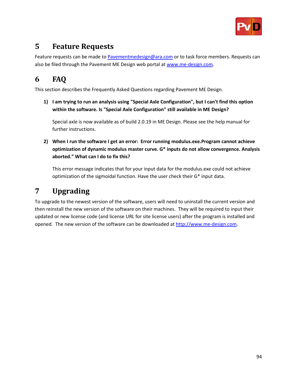

## **5 Feature Requests**

Feature requests can be made to [Pavementmedesign@ara.com](mailto:Pavementmedesign@ara.com) or to task force members. Requests can also be filed through the Pavement ME Design web portal at [www.me-design.com.](http://www.me-design.com/)

# **6 FAQ**

This section describes the Frequently Asked Questions regarding Pavement ME Design.

**1) I am trying to run an analysis using "Special Axle Configuration", but I can't find this option within the software. Is "Special Axle Configuration" still available in ME Design?**

Special axle is now available as of build 2.0.19 in ME Design. Please see the help manual for further instructions.

**2) When I run the software I get an error: Error running modulus.exe.Program cannot achieve optimization of dynamic modulus master curve. G\* inputs do not allow convergence. Analysis aborted." What can I do to fix this?**

This error message indicates that for your input data for the modulus.exe could not achieve optimization of the sigmoidal function. Have the user check their G\* input data.

### **7 Upgrading**

To upgrade to the newest version of the software, users will need to uninstall the current version and then reinstall the new version of the software on their machines. They will be required to input their updated or new license code (and license URL for site license users) after the program is installed and opened. The new version of the software can be downloaded a[t http://www.me-design.c](http://www.me-design./)om.